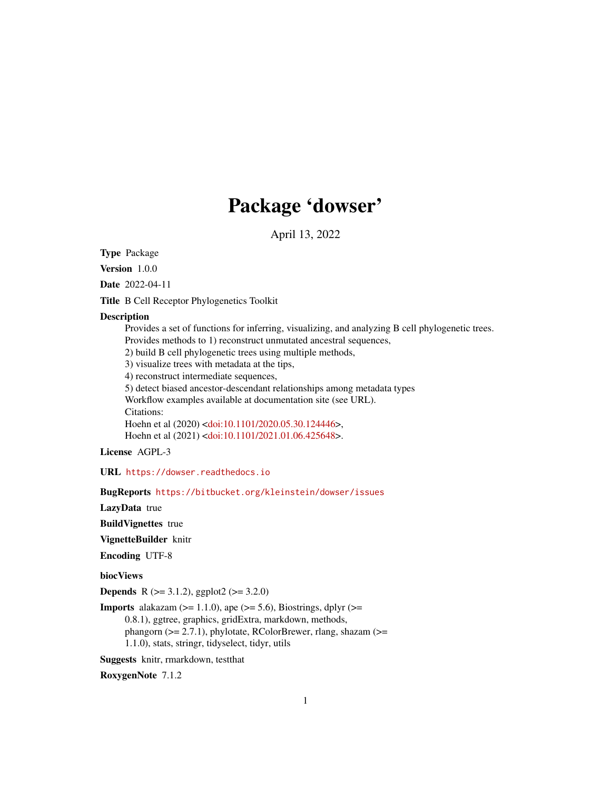# Package 'dowser'

April 13, 2022

<span id="page-0-0"></span>Type Package

Version 1.0.0

Date 2022-04-11

Title B Cell Receptor Phylogenetics Toolkit

#### Description

Provides a set of functions for inferring, visualizing, and analyzing B cell phylogenetic trees. Provides methods to 1) reconstruct unmutated ancestral sequences,

2) build B cell phylogenetic trees using multiple methods,

3) visualize trees with metadata at the tips,

4) reconstruct intermediate sequences,

5) detect biased ancestor-descendant relationships among metadata types Workflow examples available at documentation site (see URL). Citations:

Hoehn et al (2020) [<doi:10.1101/2020.05.30.124446>](https://doi.org/10.1101/2020.05.30.124446), Hoehn et al (2021) [<doi:10.1101/2021.01.06.425648>](https://doi.org/10.1101/2021.01.06.425648).

License AGPL-3

URL <https://dowser.readthedocs.io>

BugReports <https://bitbucket.org/kleinstein/dowser/issues>

LazyData true

BuildVignettes true

VignetteBuilder knitr

Encoding UTF-8

biocViews

**Depends** R ( $>= 3.1.2$ ), ggplot2 ( $>= 3.2.0$ )

**Imports** alakazam  $(>= 1.1.0)$ , ape  $(>= 5.6)$ , Biostrings, dplyr  $(>= 1.1.0)$ 0.8.1), ggtree, graphics, gridExtra, markdown, methods, phangorn ( $>= 2.7.1$ ), phylotate, RColorBrewer, rlang, shazam ( $>=$ 1.1.0), stats, stringr, tidyselect, tidyr, utils

Suggests knitr, rmarkdown, testthat

RoxygenNote 7.1.2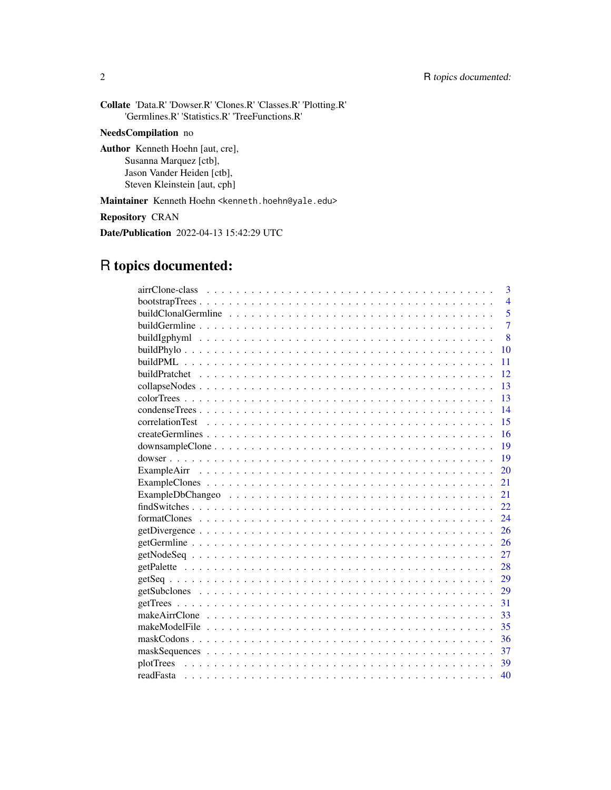| <b>Collate</b> 'Data.R' 'Dowser.R' 'Clones.R' 'Classes.R' 'Plotting.R'<br>'Germlines.R' 'Statistics.R' 'TreeFunctions.R'        |
|---------------------------------------------------------------------------------------------------------------------------------|
| <b>NeedsCompilation</b> no                                                                                                      |
| <b>Author</b> Kenneth Hoehn [aut, cre],<br>Susanna Marquez [ctb],<br>Jason Vander Heiden [ctb],<br>Steven Kleinstein [aut, cph] |
| Maintainer Kenneth Hoehn <kenneth.hoehn@yale.edu></kenneth.hoehn@yale.edu>                                                      |
| <b>Repository CRAN</b>                                                                                                          |

Date/Publication 2022-04-13 15:42:29 UTC

# R topics documented:

| 3                                                                                                                    |
|----------------------------------------------------------------------------------------------------------------------|
| $\overline{4}$                                                                                                       |
| 5                                                                                                                    |
| $\overline{7}$                                                                                                       |
| $\overline{8}$                                                                                                       |
| 10                                                                                                                   |
| 11                                                                                                                   |
| 12                                                                                                                   |
| 13                                                                                                                   |
| 13                                                                                                                   |
| 14                                                                                                                   |
| 15                                                                                                                   |
| 16                                                                                                                   |
| 19                                                                                                                   |
| 19                                                                                                                   |
| 20                                                                                                                   |
| 21                                                                                                                   |
| 21                                                                                                                   |
| 22                                                                                                                   |
| 24<br>$formatClones \dots \dots \dots \dots \dots \dots \dots \dots \dots \dots \dots \dots \dots \dots \dots \dots$ |
| 26                                                                                                                   |
| 26                                                                                                                   |
| 27                                                                                                                   |
| 28                                                                                                                   |
| 29                                                                                                                   |
| 29                                                                                                                   |
| 31                                                                                                                   |
| 33                                                                                                                   |
| 35                                                                                                                   |
| 36                                                                                                                   |
| 37                                                                                                                   |
| 39                                                                                                                   |
| 40                                                                                                                   |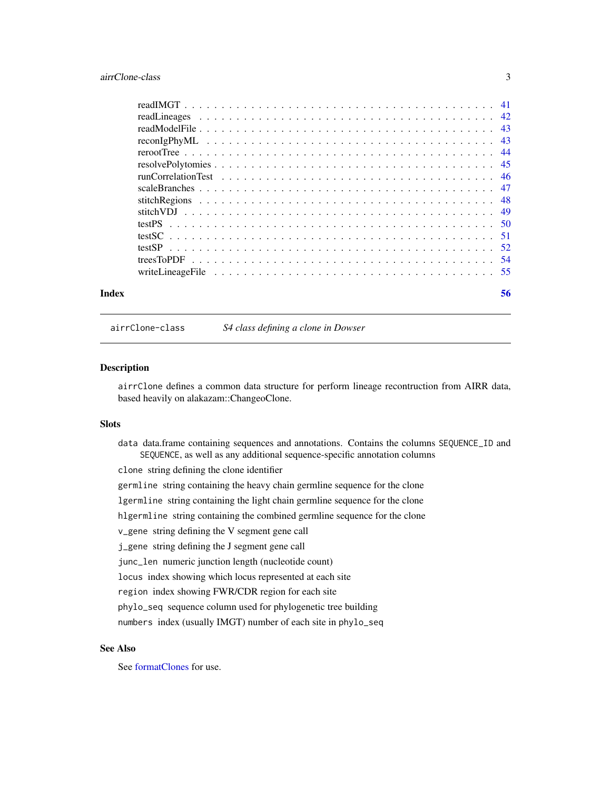#### <span id="page-2-0"></span>airrClone-class 3

| Index | 56 |
|-------|----|

airrClone-class *S4 class defining a clone in Dowser*

#### <span id="page-2-1"></span>Description

airrClone defines a common data structure for perform lineage recontruction from AIRR data, based heavily on alakazam::ChangeoClone.

#### Slots

data data.frame containing sequences and annotations. Contains the columns SEQUENCE\_ID and SEQUENCE, as well as any additional sequence-specific annotation columns

clone string defining the clone identifier

germline string containing the heavy chain germline sequence for the clone

lgermline string containing the light chain germline sequence for the clone

hlgermline string containing the combined germline sequence for the clone

v\_gene string defining the V segment gene call

j\_gene string defining the J segment gene call

junc\_len numeric junction length (nucleotide count)

locus index showing which locus represented at each site

region index showing FWR/CDR region for each site

phylo\_seq sequence column used for phylogenetic tree building

numbers index (usually IMGT) number of each site in phylo\_seq

### See Also

See [formatClones](#page-23-1) for use.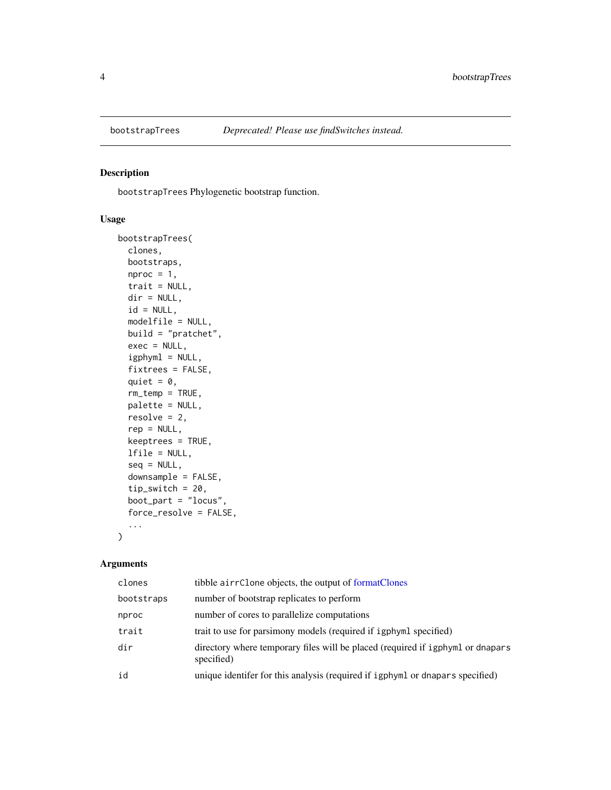<span id="page-3-0"></span>

bootstrapTrees Phylogenetic bootstrap function.

# Usage

```
bootstrapTrees(
  clones,
 bootstraps,
 nproc = 1,trait = NULL,
 dir = NULL,id = NULL,modelfile = NULL,
 build = "pratchet",
 exec = NULL,
  igphyml = NULL,fixtrees = FALSE,
  quiet = \theta,
  rm_temp = TRUE,
 palette = NULL,
  resolve = 2,
  rep = NULL,keeptrees = TRUE,
  lfile = NULL,
  seq = NULL,downsample = FALSE,
  tip\_switch = 20,boot_part = "locus",
  force_resolve = FALSE,
  ...
)
```

| clones     | tibble airrClone objects, the output of formatClones                                         |
|------------|----------------------------------------------------------------------------------------------|
| bootstraps | number of bootstrap replicates to perform                                                    |
| nproc      | number of cores to parallelize computations                                                  |
| trait      | trait to use for parsimony models (required if igphyml specified)                            |
| dir        | directory where temporary files will be placed (required if igphyml or dnapars<br>specified) |
| id         | unique identifer for this analysis (required if igphyml or dnapars specified)                |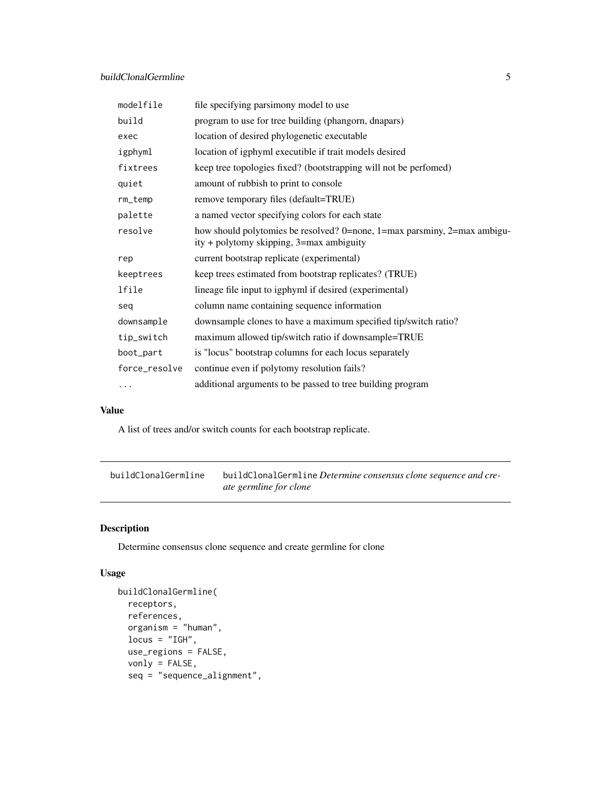# <span id="page-4-0"></span>buildClonalGermline 5

| modelfile     | file specifying parsimony model to use                                                                               |
|---------------|----------------------------------------------------------------------------------------------------------------------|
| build         | program to use for tree building (phangorn, dnapars)                                                                 |
| exec          | location of desired phylogenetic executable                                                                          |
| igphyml       | location of igphyml executible if trait models desired                                                               |
| fixtrees      | keep tree topologies fixed? (bootstrapping will not be perfomed)                                                     |
| quiet         | amount of rubbish to print to console                                                                                |
| rm_temp       | remove temporary files (default=TRUE)                                                                                |
| palette       | a named vector specifying colors for each state                                                                      |
| resolve       | how should polytomies be resolved? 0=none, 1=max parsminy, 2=max ambigu-<br>ity + polytomy skipping, 3=max ambiguity |
| rep           | current bootstrap replicate (experimental)                                                                           |
| keeptrees     | keep trees estimated from bootstrap replicates? (TRUE)                                                               |
| lfile         | lineage file input to igphyml if desired (experimental)                                                              |
| seg           | column name containing sequence information                                                                          |
| downsample    | downsample clones to have a maximum specified tip/switch ratio?                                                      |
| tip_switch    | maximum allowed tip/switch ratio if downsample=TRUE                                                                  |
| boot_part     | is "locus" bootstrap columns for each locus separately                                                               |
| force_resolve | continue even if polytomy resolution fails?                                                                          |
| .             | additional arguments to be passed to tree building program                                                           |

#### Value

A list of trees and/or switch counts for each bootstrap replicate.

<span id="page-4-1"></span>buildClonalGermline buildClonalGermline *Determine consensus clone sequence and create germline for clone*

# Description

Determine consensus clone sequence and create germline for clone

# Usage

```
buildClonalGermline(
 receptors,
 references,
 organism = "human",
 locus = "IGH",use_regions = FALSE,
 vonly = FALSE,
  seq = "sequence_alignment",
```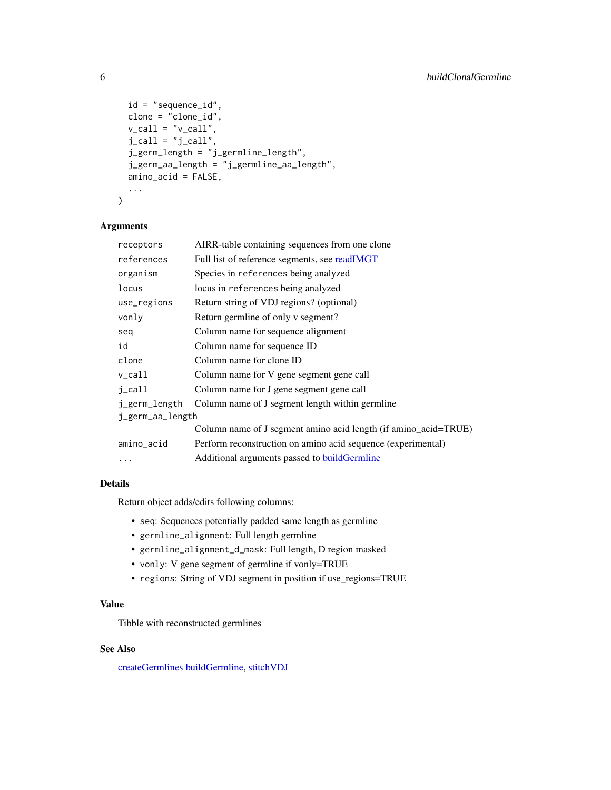```
id = "sequence_id",
 clone = "clone_id",
  v_{cal} = "v_{cal}]'.
  j<sub>call</sub> = "j<sub>call</sub>",
  j_germ_length = "j_germline_length",
  j_germ_aa_length = "j_germline_aa_length",
  amino_acid = FALSE,
  ...
)
```
# Arguments

| receptors        | AIRR-table containing sequences from one clone                  |  |
|------------------|-----------------------------------------------------------------|--|
| references       | Full list of reference segments, see readIMGT                   |  |
| organism         | Species in references being analyzed                            |  |
| locus            | locus in references being analyzed                              |  |
| use_regions      | Return string of VDJ regions? (optional)                        |  |
| vonly            | Return germline of only v segment?                              |  |
| seq              | Column name for sequence alignment                              |  |
| id               | Column name for sequence ID                                     |  |
| clone            | Column name for clone ID                                        |  |
| $v_{cal}$        | Column name for V gene segment gene call                        |  |
| j_call           | Column name for J gene segment gene call                        |  |
| j_germ_length    | Column name of J segment length within germline                 |  |
| j_germ_aa_length |                                                                 |  |
|                  | Column name of J segment amino acid length (if amino_acid=TRUE) |  |
| amino_acid       | Perform reconstruction on amino acid sequence (experimental)    |  |
| .                | Additional arguments passed to build Germline                   |  |
|                  |                                                                 |  |

# Details

Return object adds/edits following columns:

- seq: Sequences potentially padded same length as germline
- germline\_alignment: Full length germline
- germline\_alignment\_d\_mask: Full length, D region masked
- vonly: V gene segment of germline if vonly=TRUE
- regions: String of VDJ segment in position if use\_regions=TRUE

#### Value

Tibble with reconstructed germlines

# See Also

[createGermlines](#page-15-1) [buildGermline,](#page-6-1) [stitchVDJ](#page-48-1)

<span id="page-5-0"></span>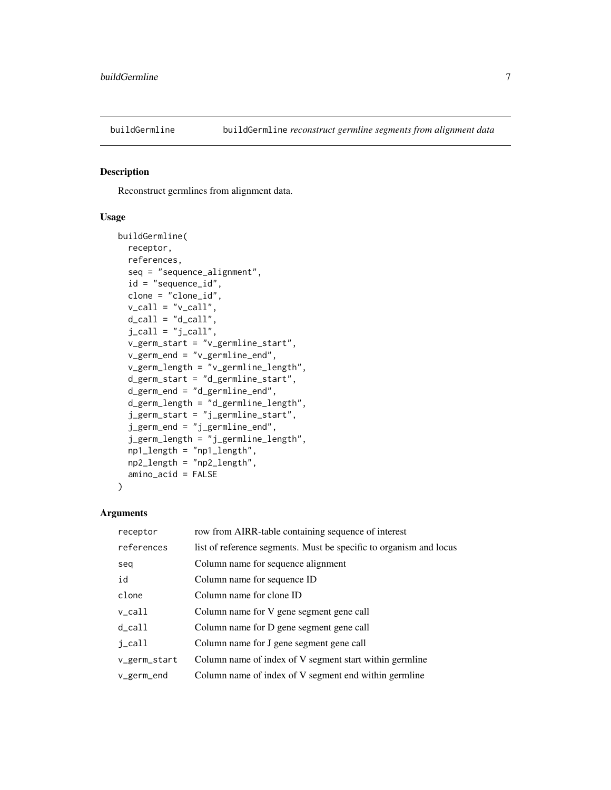<span id="page-6-1"></span><span id="page-6-0"></span>

Reconstruct germlines from alignment data.

#### Usage

```
buildGermline(
  receptor,
  references,
  seq = "sequence_alignment",
  id = "sequence_id",
 clone = "clone_id",
  v_{cal} = "v_{cal}]',
 d_{call} = "d_{call}".j<sub>call</sub> = "j<sub>call</sub>",
  v_germ_start = "v_germline_start",
  v_germ_end = "v_germline_end",
  v_germ_length = "v_germline_length",
  d_germ_start = "d_germline_start",
  d_germ_end = "d_germline_end",
  d_germ_length = "d_germline_length",
  j_germ_start = "j_germline_start",
  j_germ_end = "j_germline_end",
  j_germ_length = "j_germline_length",
 np1_length = "np1_length",
 np2_length = "np2_length",
  amino_acid = FALSE
)
```

| receptor            | row from AIRR-table containing sequence of interest                |
|---------------------|--------------------------------------------------------------------|
| references          | list of reference segments. Must be specific to organism and locus |
| seq                 | Column name for sequence alignment                                 |
| id                  | Column name for sequence ID                                        |
| clone               | Column name for clone ID                                           |
| $v_{cal}1$          | Column name for V gene segment gene call                           |
| $d$ <sub>call</sub> | Column name for D gene segment gene call                           |
| j_call              | Column name for J gene segment gene call                           |
| v_germ_start        | Column name of index of V segment start within germline            |
| $v_{germ\_end}$     | Column name of index of V segment end within germline              |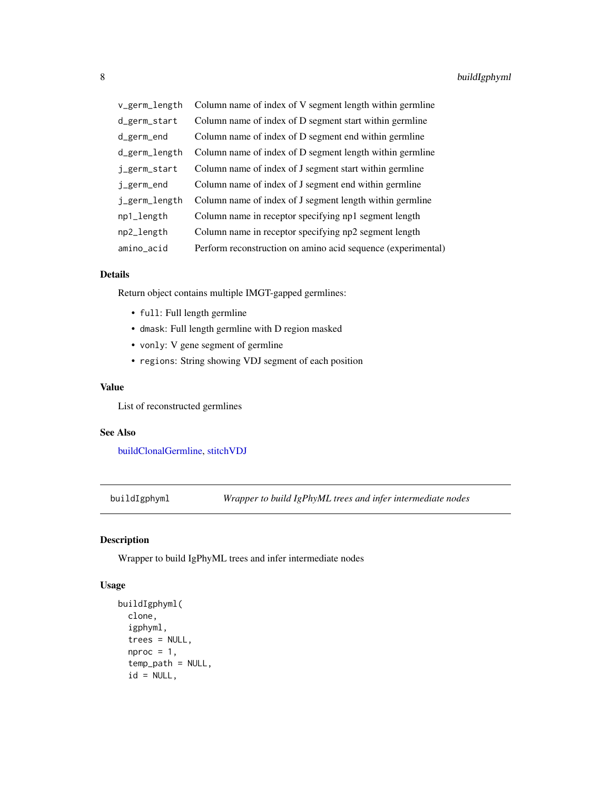<span id="page-7-0"></span>

| v_germ_length | Column name of index of V segment length within germline     |
|---------------|--------------------------------------------------------------|
| d_germ_start  | Column name of index of D segment start within germline      |
| d_germ_end    | Column name of index of D segment end within germline        |
| d_germ_length | Column name of index of D segment length within germline     |
| j_germ_start  | Column name of index of J segment start within germline      |
| j_germ_end    | Column name of index of J segment end within germline        |
| j_germ_length | Column name of index of J segment length within germline     |
| np1_length    | Column name in receptor specifying np1 segment length        |
| np2_length    | Column name in receptor specifying np2 segment length        |
| amino_acid    | Perform reconstruction on amino acid sequence (experimental) |

# Details

Return object contains multiple IMGT-gapped germlines:

- full: Full length germline
- dmask: Full length germline with D region masked
- vonly: V gene segment of germline
- regions: String showing VDJ segment of each position

#### Value

List of reconstructed germlines

# See Also

[buildClonalGermline,](#page-4-1) [stitchVDJ](#page-48-1)

<span id="page-7-1"></span>buildIgphyml *Wrapper to build IgPhyML trees and infer intermediate nodes*

# Description

Wrapper to build IgPhyML trees and infer intermediate nodes

#### Usage

```
buildIgphyml(
  clone,
  igphyml,
  trees = NULL,
  nproc = 1,temp_path = NULL,
  id = NULL,
```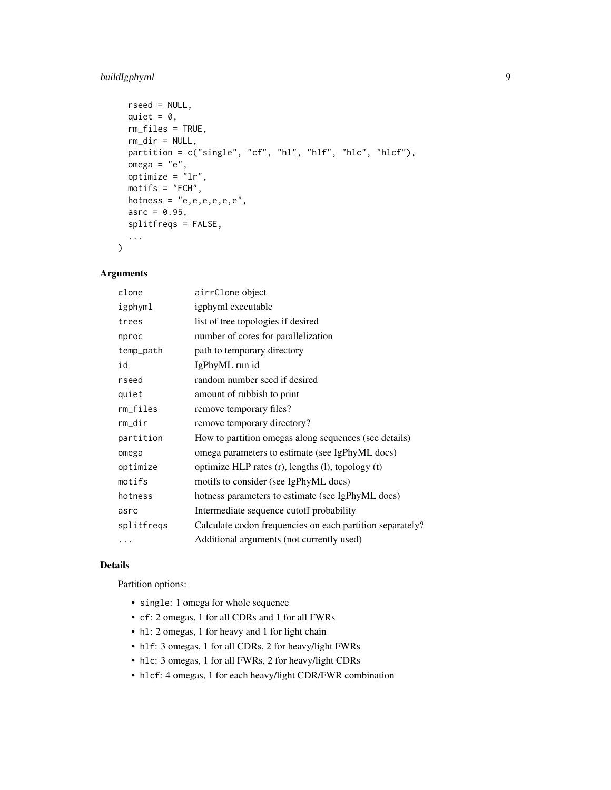# buildIgphyml 9

```
rseed = NULL,
 quiet = \theta,
 rm_files = TRUE,
 rm_dir = NULL,
 partition = c("single", "cf", "hl", "hlf", "hlc", "hlcf"),
 omega = "e",optimize = "lr",
 motifs = "FCH",hotness = "e, e, e, e, e, e",asrc = 0.95,splitfreqs = FALSE,
  ...
)
```
# Arguments

| clone      | airrClone object                                          |
|------------|-----------------------------------------------------------|
| igphyml    | igphyml executable                                        |
| trees      | list of tree topologies if desired                        |
| nproc      | number of cores for parallelization                       |
| temp_path  | path to temporary directory                               |
| id         | IgPhyML run id                                            |
| rseed      | random number seed if desired                             |
| quiet      | amount of rubbish to print                                |
| rm_files   | remove temporary files?                                   |
| rm_dir     | remove temporary directory?                               |
| partition  | How to partition omegas along sequences (see details)     |
| omega      | omega parameters to estimate (see IgPhyML docs)           |
| optimize   | optimize HLP rates $(r)$ , lengths $(l)$ , topology $(t)$ |
| motifs     | motifs to consider (see IgPhyML docs)                     |
| hotness    | hotness parameters to estimate (see IgPhyML docs)         |
| asrc       | Intermediate sequence cutoff probability                  |
| splitfreqs | Calculate codon frequencies on each partition separately? |
| .          | Additional arguments (not currently used)                 |

# Details

Partition options:

- single: 1 omega for whole sequence
- cf: 2 omegas, 1 for all CDRs and 1 for all FWRs
- hl: 2 omegas, 1 for heavy and 1 for light chain
- hlf: 3 omegas, 1 for all CDRs, 2 for heavy/light FWRs
- hlc: 3 omegas, 1 for all FWRs, 2 for heavy/light CDRs
- hlcf: 4 omegas, 1 for each heavy/light CDR/FWR combination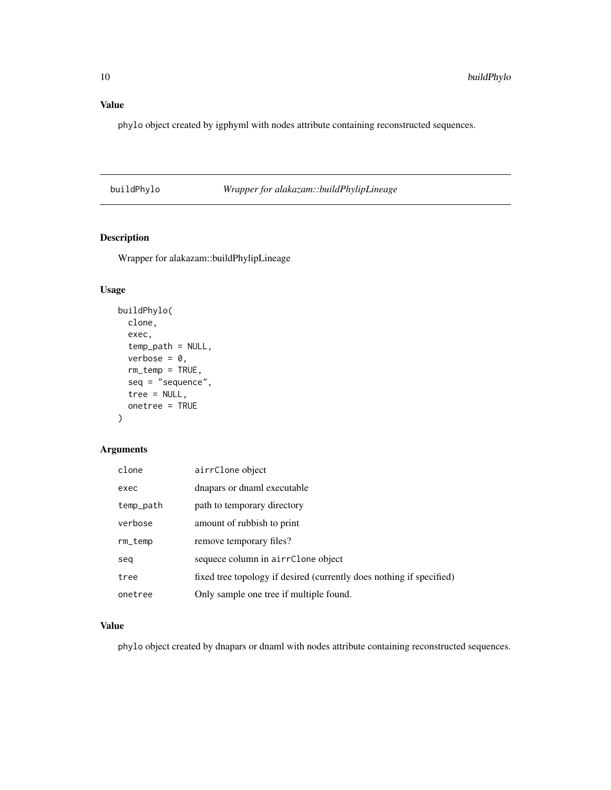# <span id="page-9-0"></span>Value

phylo object created by igphyml with nodes attribute containing reconstructed sequences.

# <span id="page-9-1"></span>buildPhylo *Wrapper for alakazam::buildPhylipLineage*

# Description

Wrapper for alakazam::buildPhylipLineage

# Usage

```
buildPhylo(
 clone,
 exec,
  temp_path = NULL,
  verbose = 0,rm_temp = TRUE,
  seq = "sequence",
  tree = NULL,
 onetree = TRUE
)
```
# Arguments

| clone     | airrClone object                                                     |
|-----------|----------------------------------------------------------------------|
| exec      | dnapars or dnaml executable                                          |
| temp_path | path to temporary directory                                          |
| verbose   | amount of rubbish to print                                           |
| rm_temp   | remove temporary files?                                              |
| seq       | sequece column in airrClone object                                   |
| tree      | fixed tree topology if desired (currently does nothing if specified) |
| onetree   | Only sample one tree if multiple found.                              |

# Value

phylo object created by dnapars or dnaml with nodes attribute containing reconstructed sequences.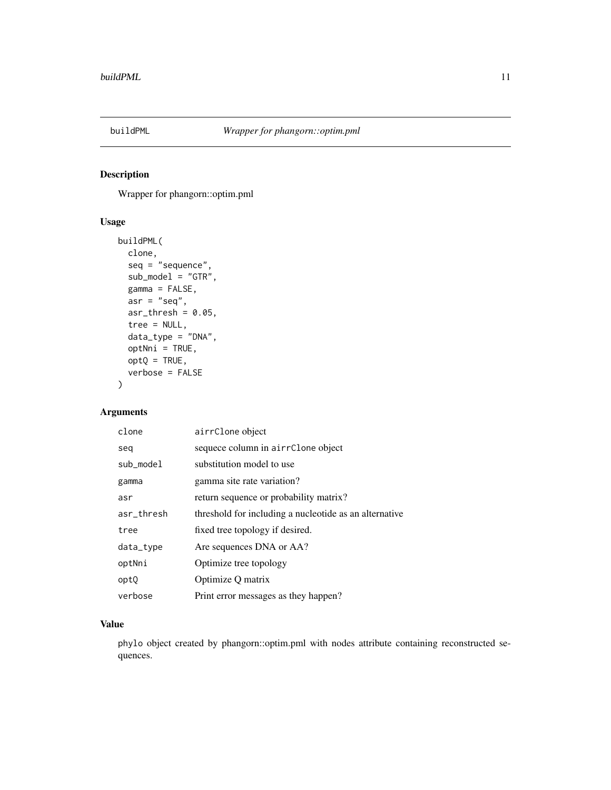<span id="page-10-1"></span><span id="page-10-0"></span>

Wrapper for phangorn::optim.pml

# Usage

```
buildPML(
 clone,
  seq = "sequence",
  sub_model = "GTR",
  gamma = FALSE,asr = "seq",asr_{th}resh = 0.05,
  tree = NULL,
  data_type = "DNA",
 optNni = TRUE,
 optQ = TRUE,verbose = FALSE
\mathcal{E}
```
# Arguments

| clone      | airrClone object                                       |
|------------|--------------------------------------------------------|
| seg        | sequece column in airrClone object                     |
| sub_model  | substitution model to use                              |
| gamma      | gamma site rate variation?                             |
| asr        | return sequence or probability matrix?                 |
| asr_thresh | threshold for including a nucleotide as an alternative |
| tree       | fixed tree topology if desired.                        |
| data_type  | Are sequences DNA or AA?                               |
| optNni     | Optimize tree topology                                 |
| optQ       | Optimize Q matrix                                      |
| verbose    | Print error messages as they happen?                   |

#### Value

phylo object created by phangorn::optim.pml with nodes attribute containing reconstructed sequences.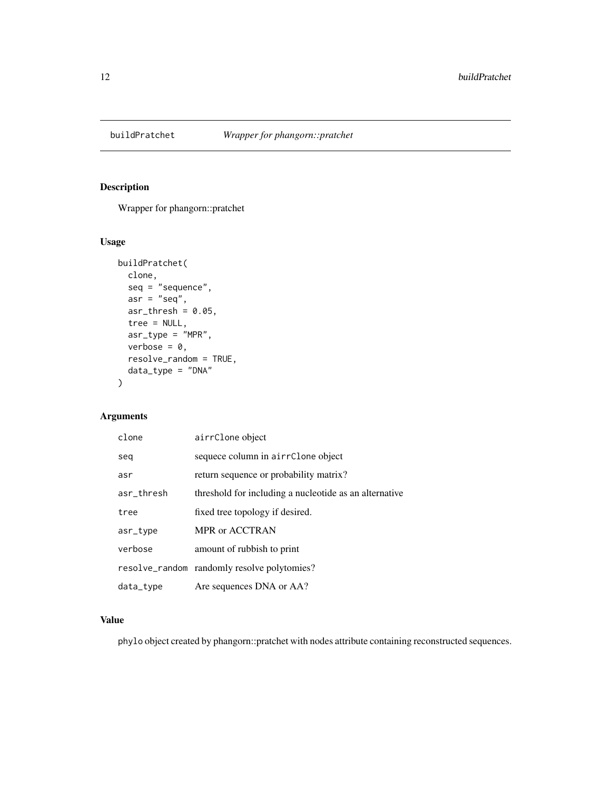<span id="page-11-1"></span><span id="page-11-0"></span>

Wrapper for phangorn::pratchet

# Usage

```
buildPratchet(
  clone,
  seq = "sequence",
  asr = "seq",asr_{th}resh = 0.05,
  tree = NULL,
  asr_type = "MPR",
  verbose = 0,
  resolve_random = TRUE,
  data_type = "DNA"
)
```
# Arguments

| clone      | airrClone object                                       |
|------------|--------------------------------------------------------|
| seq        | sequece column in airrClone object                     |
| asr        | return sequence or probability matrix?                 |
| asr_thresh | threshold for including a nucleotide as an alternative |
| tree       | fixed tree topology if desired.                        |
| asr_type   | MPR or ACCTRAN                                         |
| verbose    | amount of rubbish to print                             |
|            | resolve_random randomly resolve polytomies?            |
| data_type  | Are sequences DNA or AA?                               |

# Value

phylo object created by phangorn::pratchet with nodes attribute containing reconstructed sequences.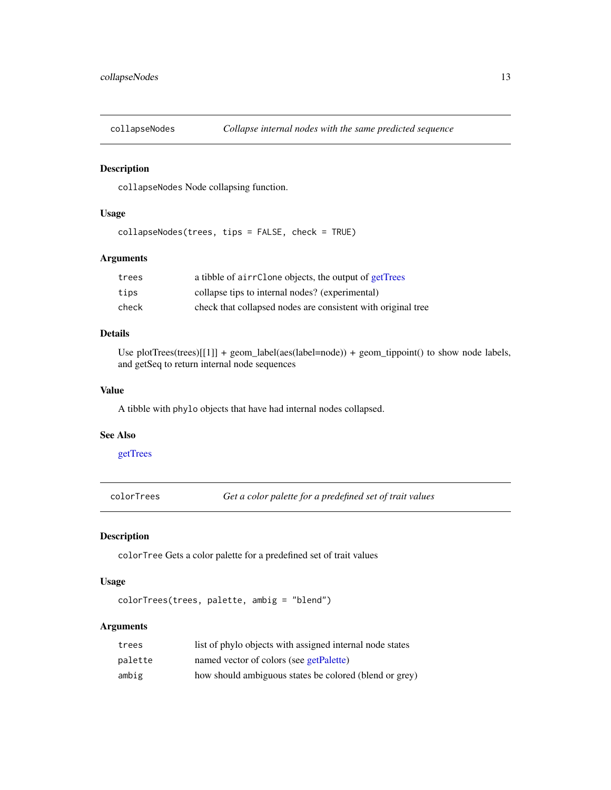<span id="page-12-0"></span>

collapseNodes Node collapsing function.

# Usage

collapseNodes(trees, tips = FALSE, check = TRUE)

#### Arguments

| trees | a tibble of airrClone objects, the output of getTrees        |
|-------|--------------------------------------------------------------|
| tips  | collapse tips to internal nodes? (experimental)              |
| check | check that collapsed nodes are consistent with original tree |

### Details

Use plotTrees(trees)[[1]] + geom\_label(aes(label=node)) + geom\_tippoint() to show node labels, and getSeq to return internal node sequences

#### Value

A tibble with phylo objects that have had internal nodes collapsed.

#### See Also

[getTrees](#page-30-1)

colorTrees *Get a color palette for a predefined set of trait values*

#### Description

colorTree Gets a color palette for a predefined set of trait values

# Usage

```
colorTrees(trees, palette, ambig = "blend")
```

| trees   | list of phylo objects with assigned internal node states |
|---------|----------------------------------------------------------|
| palette | named vector of colors (see getPalette)                  |
| ambig   | how should ambiguous states be colored (blend or grey)   |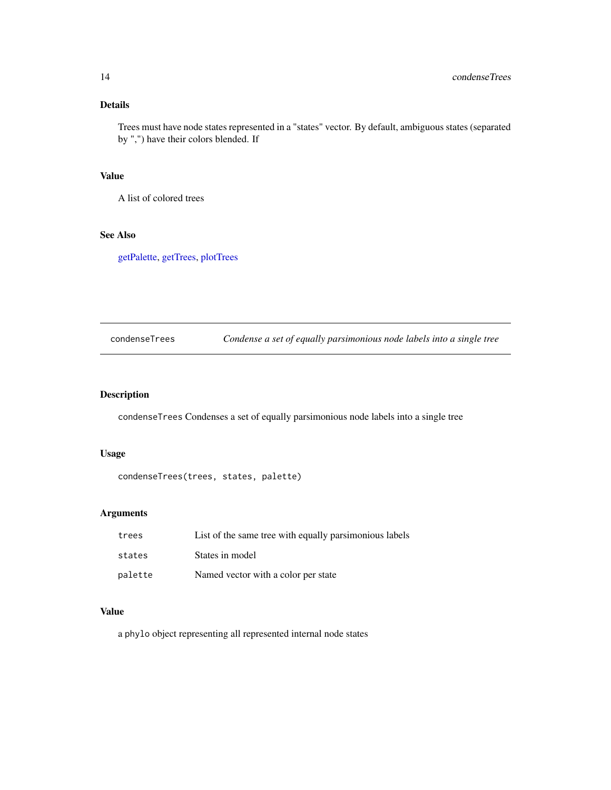# <span id="page-13-0"></span>Details

Trees must have node states represented in a "states" vector. By default, ambiguous states (separated by ",") have their colors blended. If

# Value

A list of colored trees

#### See Also

[getPalette,](#page-27-1) [getTrees,](#page-30-1) [plotTrees](#page-38-1)

condenseTrees *Condense a set of equally parsimonious node labels into a single tree*

# Description

condenseTrees Condenses a set of equally parsimonious node labels into a single tree

# Usage

```
condenseTrees(trees, states, palette)
```
# Arguments

| trees   | List of the same tree with equally parsimonious labels |
|---------|--------------------------------------------------------|
| states  | States in model                                        |
| palette | Named vector with a color per state                    |

# Value

a phylo object representing all represented internal node states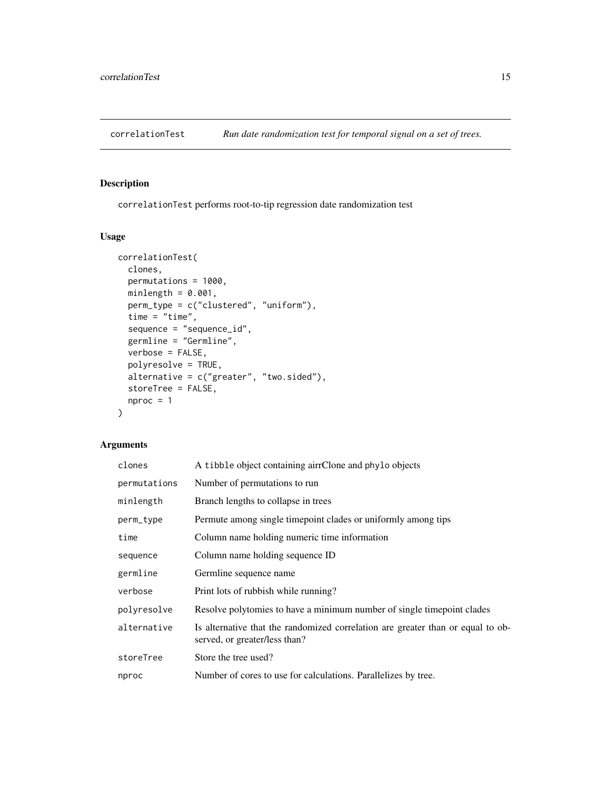<span id="page-14-1"></span><span id="page-14-0"></span>

correlationTest performs root-to-tip regression date randomization test

#### Usage

```
correlationTest(
 clones,
 permutations = 1000,
 minlength = 0.001,
 perm_type = c("clustered", "uniform"),
  time = "time",
  sequence = "sequence_id",
  germline = "Germline",
  verbose = FALSE,
 polyresolve = TRUE,
  alternative = c("greater", "two.sided"),
  storeTree = FALSE,
 nproc = 1\mathcal{L}
```

| clones       | A tibble object containing airrClone and phylo objects                                                           |
|--------------|------------------------------------------------------------------------------------------------------------------|
| permutations | Number of permutations to run                                                                                    |
| minlength    | Branch lengths to collapse in trees                                                                              |
| perm_type    | Permute among single timepoint clades or uniformly among tips                                                    |
| time         | Column name holding numeric time information                                                                     |
| sequence     | Column name holding sequence ID                                                                                  |
| germline     | Germline sequence name                                                                                           |
| verbose      | Print lots of rubbish while running?                                                                             |
| polyresolve  | Resolve polytomies to have a minimum number of single timepoint clades                                           |
| alternative  | Is alternative that the randomized correlation are greater than or equal to ob-<br>served, or greater/less than? |
| storeTree    | Store the tree used?                                                                                             |
| nproc        | Number of cores to use for calculations. Parallelizes by tree.                                                   |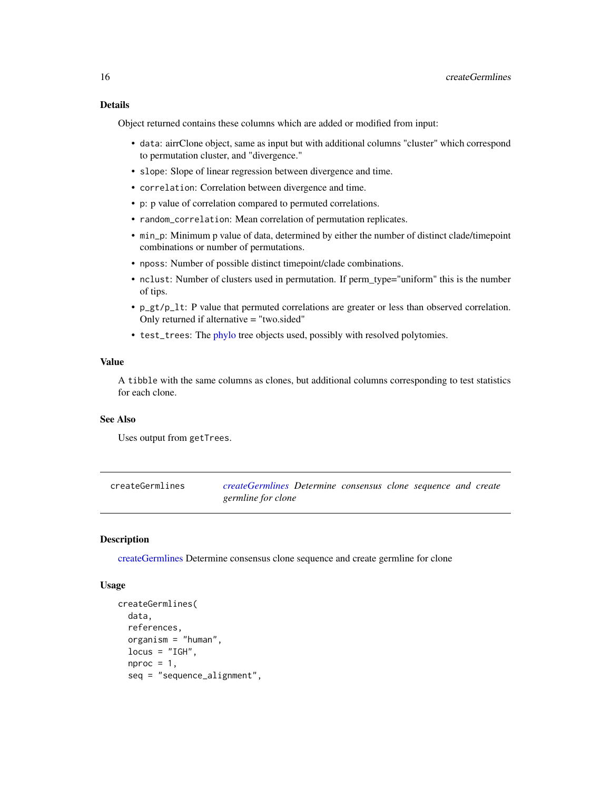#### <span id="page-15-0"></span>Details

Object returned contains these columns which are added or modified from input:

- data: airrClone object, same as input but with additional columns "cluster" which correspond to permutation cluster, and "divergence."
- slope: Slope of linear regression between divergence and time.
- correlation: Correlation between divergence and time.
- p: p value of correlation compared to permuted correlations.
- random\_correlation: Mean correlation of permutation replicates.
- min\_p: Minimum p value of data, determined by either the number of distinct clade/timepoint combinations or number of permutations.
- nposs: Number of possible distinct timepoint/clade combinations.
- nclust: Number of clusters used in permutation. If perm\_type="uniform" this is the number of tips.
- p\_gt/p\_lt: P value that permuted correlations are greater or less than observed correlation. Only returned if alternative = "two.sided"
- test\_trees: The [phylo](#page-0-0) tree objects used, possibly with resolved polytomies.

#### Value

A tibble with the same columns as clones, but additional columns corresponding to test statistics for each clone.

#### See Also

Uses output from getTrees.

<span id="page-15-1"></span>createGermlines *[createGermlines](#page-15-1) Determine consensus clone sequence and create germline for clone*

#### Description

[createGermlines](#page-15-1) Determine consensus clone sequence and create germline for clone

#### Usage

```
createGermlines(
  data,
  references,
  organism = "human",
  locus = "IGH",nproc = 1,
  seq = "sequence_alignment",
```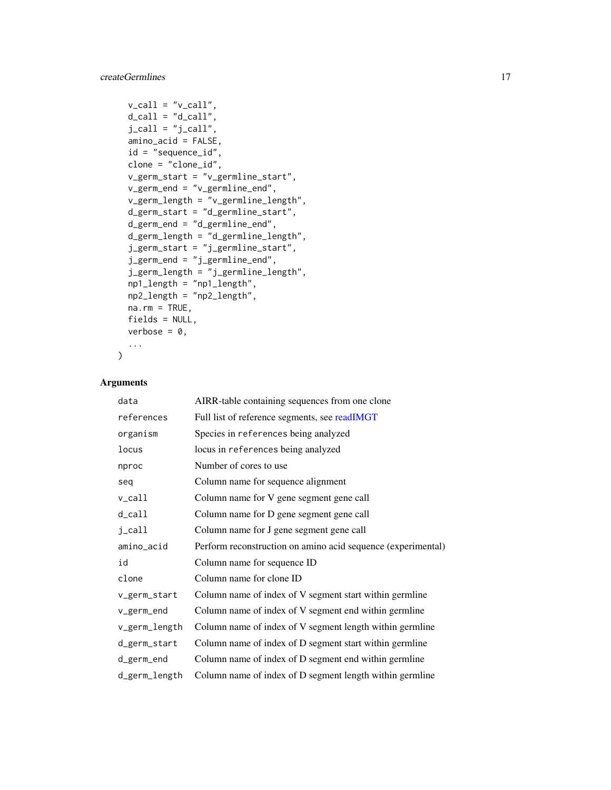# <span id="page-16-0"></span>createGermlines 17

```
v_{cal} = "v_{cal}]',
d_{call} = "d_{call}",
j<sub>call</sub> = "j<sub>call</sub>",
amino_acid = FALSE,
id = "sequence_id",
clone = "clone_id",
v_germ_start = "v_germline_start",
v_germ_end = "v_germline_end",
v_germ_length = "v_germline_length",
d_germ_start = "d_germline_start",
d_germ_end = "d_germline_end",
d_germ_length = "d_germline_length",
j_germ_start = "j_germline_start",
j_germ_end = "j_germline_end",
j_germ_length = "j_germline_length",
np1_length = "np1_length",
np2_length = "np2_length",
na.rm = TRUE,fields = NULL,
verbose = 0,
...
```
# Arguments

 $\mathcal{L}$ 

| data                | AIRR-table containing sequences from one clone               |
|---------------------|--------------------------------------------------------------|
| references          | Full list of reference segments, see readIMGT                |
| organism            | Species in references being analyzed                         |
| locus               | locus in references being analyzed                           |
| nproc               | Number of cores to use.                                      |
| seg                 | Column name for sequence alignment                           |
| $v_{cal}1$          | Column name for V gene segment gene call                     |
| $d$ <sub>call</sub> | Column name for D gene segment gene call                     |
| j_call              | Column name for J gene segment gene call                     |
| amino_acid          | Perform reconstruction on amino acid sequence (experimental) |
| id                  | Column name for sequence ID                                  |
| clone               | Column name for clone ID                                     |
| v_germ_start        | Column name of index of V segment start within germline      |
| v_germ_end          | Column name of index of V segment end within germline        |
| v_germ_length       | Column name of index of V segment length within germline     |
| d_germ_start        | Column name of index of D segment start within germline      |
| d_germ_end          | Column name of index of D segment end within germline        |
| d_germ_length       | Column name of index of D segment length within germline     |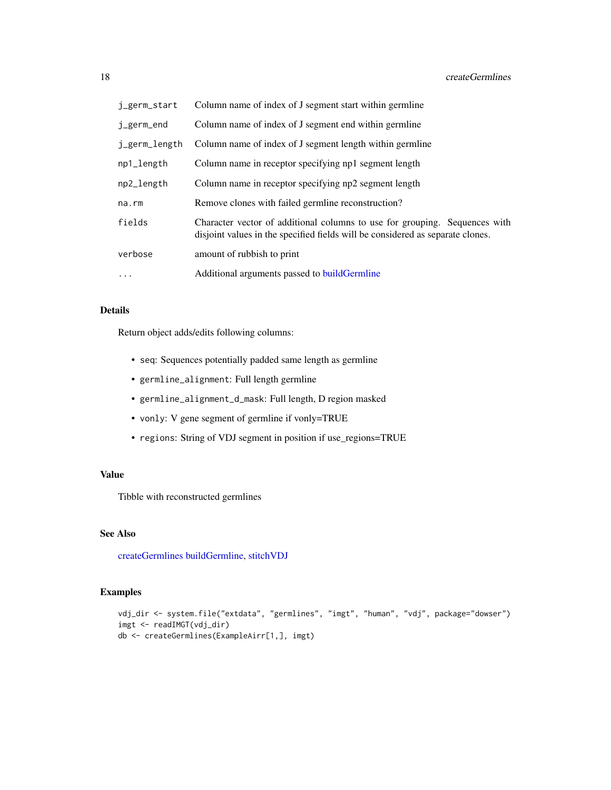<span id="page-17-0"></span>

| j_germ_start  | Column name of index of J segment start within germline                                                                                                      |
|---------------|--------------------------------------------------------------------------------------------------------------------------------------------------------------|
| j_germ_end    | Column name of index of J segment end within germline                                                                                                        |
| j_germ_length | Column name of index of J segment length within germline                                                                                                     |
| np1_length    | Column name in receptor specifying np1 segment length                                                                                                        |
| np2_length    | Column name in receptor specifying np2 segment length                                                                                                        |
| na.rm         | Remove clones with failed germline reconstruction?                                                                                                           |
| fields        | Character vector of additional columns to use for grouping. Sequences with<br>disjoint values in the specified fields will be considered as separate clones. |
| verbose       | amount of rubbish to print                                                                                                                                   |
| $\cdots$      | Additional arguments passed to build Germline                                                                                                                |

#### Details

Return object adds/edits following columns:

- seq: Sequences potentially padded same length as germline
- germline\_alignment: Full length germline
- germline\_alignment\_d\_mask: Full length, D region masked
- vonly: V gene segment of germline if vonly=TRUE
- regions: String of VDJ segment in position if use\_regions=TRUE

#### Value

Tibble with reconstructed germlines

# See Also

[createGermlines](#page-15-1) [buildGermline,](#page-6-1) [stitchVDJ](#page-48-1)

# Examples

```
vdj_dir <- system.file("extdata", "germlines", "imgt", "human", "vdj", package="dowser")
imgt <- readIMGT(vdj_dir)
db <- createGermlines(ExampleAirr[1,], imgt)
```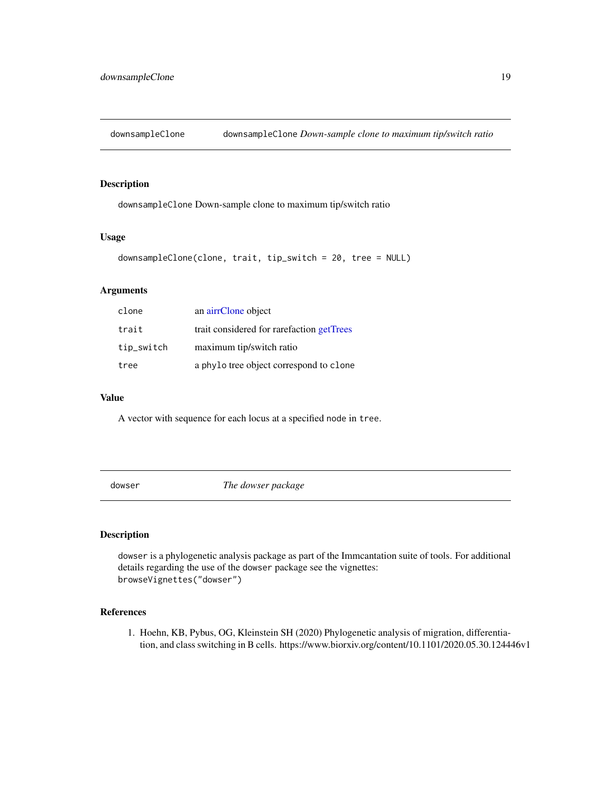<span id="page-18-0"></span>

downsampleClone Down-sample clone to maximum tip/switch ratio

#### Usage

```
downsampleClone(clone, trait, tip_switch = 20, tree = NULL)
```
# Arguments

| clone      | an airrClone object                       |
|------------|-------------------------------------------|
| trait      | trait considered for rarefaction getTrees |
| tip_switch | maximum tip/switch ratio                  |
| tree       | a phylo tree object correspond to clone   |

#### Value

A vector with sequence for each locus at a specified node in tree.

dowser *The dowser package*

# Description

dowser is a phylogenetic analysis package as part of the Immcantation suite of tools. For additional details regarding the use of the dowser package see the vignettes: browseVignettes("dowser")

# References

1. Hoehn, KB, Pybus, OG, Kleinstein SH (2020) Phylogenetic analysis of migration, differentiation, and class switching in B cells. https://www.biorxiv.org/content/10.1101/2020.05.30.124446v1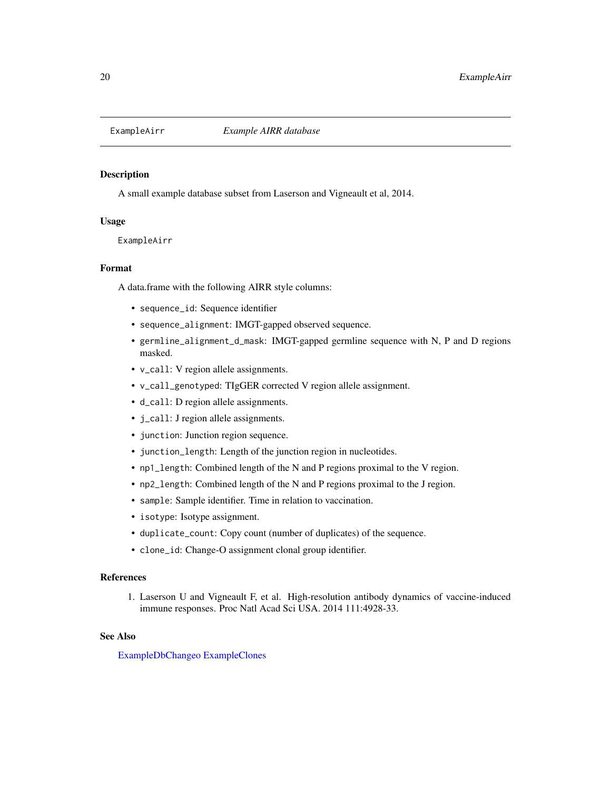<span id="page-19-1"></span><span id="page-19-0"></span>

A small example database subset from Laserson and Vigneault et al, 2014.

#### Usage

ExampleAirr

#### Format

A data.frame with the following AIRR style columns:

- sequence\_id: Sequence identifier
- sequence\_alignment: IMGT-gapped observed sequence.
- germline\_alignment\_d\_mask: IMGT-gapped germline sequence with N, P and D regions masked.
- v\_call: V region allele assignments.
- v\_call\_genotyped: TIgGER corrected V region allele assignment.
- d\_call: D region allele assignments.
- j\_call: J region allele assignments.
- junction: Junction region sequence.
- junction\_length: Length of the junction region in nucleotides.
- np1\_length: Combined length of the N and P regions proximal to the V region.
- np2\_length: Combined length of the N and P regions proximal to the J region.
- sample: Sample identifier. Time in relation to vaccination.
- isotype: Isotype assignment.
- duplicate\_count: Copy count (number of duplicates) of the sequence.
- clone\_id: Change-O assignment clonal group identifier.

# References

1. Laserson U and Vigneault F, et al. High-resolution antibody dynamics of vaccine-induced immune responses. Proc Natl Acad Sci USA. 2014 111:4928-33.

#### See Also

[ExampleDbChangeo](#page-20-1) [ExampleClones](#page-20-2)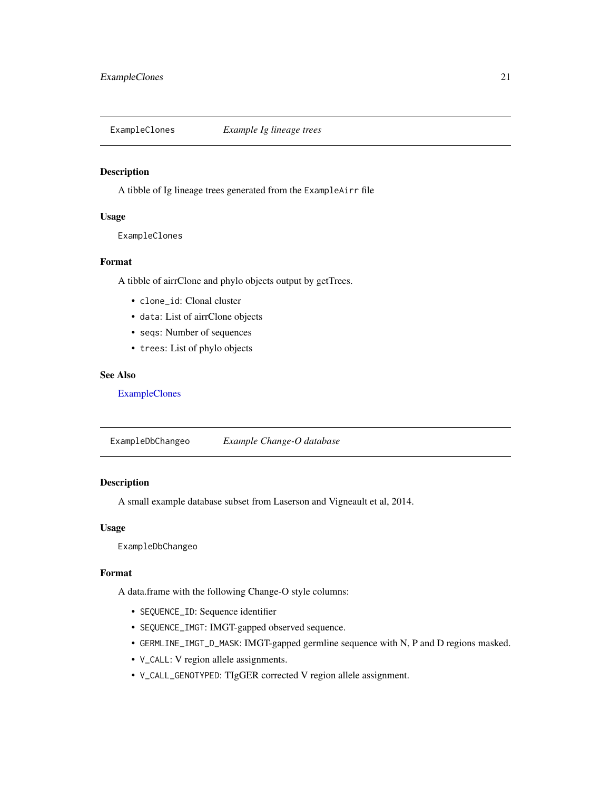<span id="page-20-2"></span><span id="page-20-0"></span>

A tibble of Ig lineage trees generated from the ExampleAirr file

#### Usage

ExampleClones

#### Format

A tibble of airrClone and phylo objects output by getTrees.

- clone\_id: Clonal cluster
- data: List of airrClone objects
- seqs: Number of sequences
- trees: List of phylo objects

#### See Also

[ExampleClones](#page-20-2)

<span id="page-20-1"></span>ExampleDbChangeo *Example Change-O database*

# Description

A small example database subset from Laserson and Vigneault et al, 2014.

# Usage

ExampleDbChangeo

#### Format

A data.frame with the following Change-O style columns:

- SEQUENCE\_ID: Sequence identifier
- SEQUENCE\_IMGT: IMGT-gapped observed sequence.
- GERMLINE\_IMGT\_D\_MASK: IMGT-gapped germline sequence with N, P and D regions masked.
- V\_CALL: V region allele assignments.
- V\_CALL\_GENOTYPED: TIgGER corrected V region allele assignment.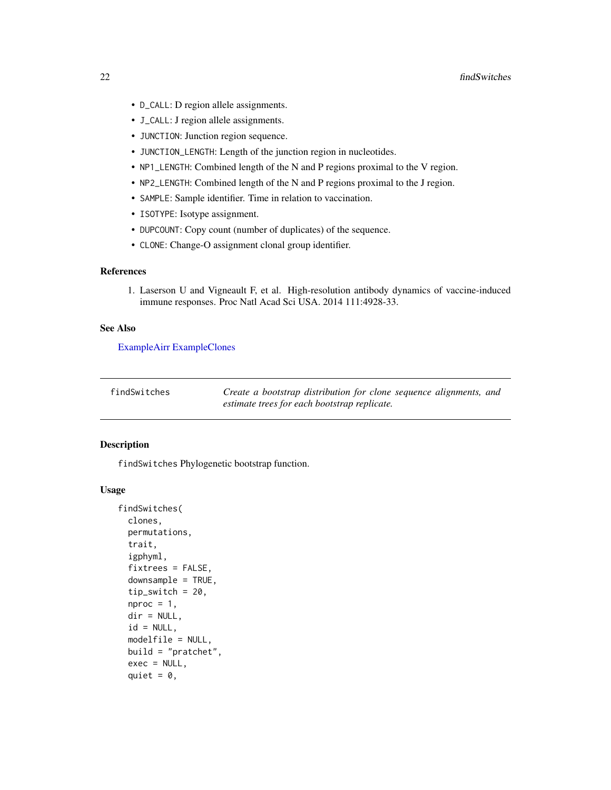- <span id="page-21-0"></span>• D\_CALL: D region allele assignments.
- J\_CALL: J region allele assignments.
- JUNCTION: Junction region sequence.
- JUNCTION\_LENGTH: Length of the junction region in nucleotides.
- NP1\_LENGTH: Combined length of the N and P regions proximal to the V region.
- NP2\_LENGTH: Combined length of the N and P regions proximal to the J region.
- SAMPLE: Sample identifier. Time in relation to vaccination.
- ISOTYPE: Isotype assignment.
- DUPCOUNT: Copy count (number of duplicates) of the sequence.
- CLONE: Change-O assignment clonal group identifier.

#### References

1. Laserson U and Vigneault F, et al. High-resolution antibody dynamics of vaccine-induced immune responses. Proc Natl Acad Sci USA. 2014 111:4928-33.

#### See Also

[ExampleAirr](#page-19-1) [ExampleClones](#page-20-2)

<span id="page-21-1"></span>findSwitches *Create a bootstrap distribution for clone sequence alignments, and estimate trees for each bootstrap replicate.*

#### Description

findSwitches Phylogenetic bootstrap function.

#### Usage

```
findSwitches(
  clones,
 permutations,
  trait,
  igphyml,
  fixtrees = FALSE,
  downsample = TRUE,
  tip\_switch = 20,nproc = 1,dir = NULL,id = NULL,modelfile = NULL,
 build = "pratchet",
  exec = NULL,
  quiet = \theta,
```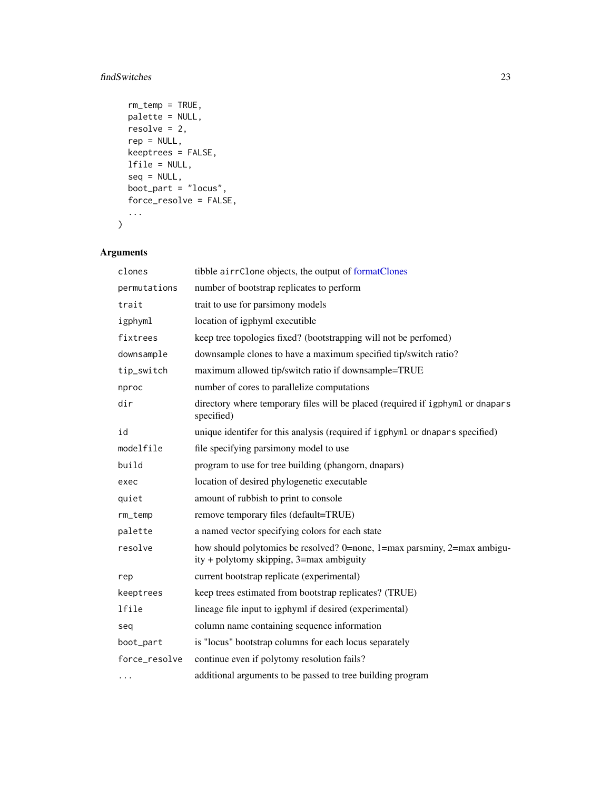# <span id="page-22-0"></span>findSwitches 23

```
rm_t = TRUE,
 palette = NULL,
 resolve = 2,
 rep = NULL,keeptrees = FALSE,
 lfile = NULL,
 seq = NULL,boot<sub>-</sub>part = "locus",
 force_resolve = FALSE,
  ...
)
```

| clones        | tibble airrClone objects, the output of formatClones                                                                 |
|---------------|----------------------------------------------------------------------------------------------------------------------|
| permutations  | number of bootstrap replicates to perform                                                                            |
| trait         | trait to use for parsimony models                                                                                    |
| igphyml       | location of igphyml executible                                                                                       |
| fixtrees      | keep tree topologies fixed? (bootstrapping will not be perfomed)                                                     |
| downsample    | downsample clones to have a maximum specified tip/switch ratio?                                                      |
| tip_switch    | maximum allowed tip/switch ratio if downsample=TRUE                                                                  |
| nproc         | number of cores to parallelize computations                                                                          |
| dir           | directory where temporary files will be placed (required if igphyml or dnapars<br>specified)                         |
| id            | unique identifer for this analysis (required if igphyml or dnapars specified)                                        |
| modelfile     | file specifying parsimony model to use                                                                               |
| build         | program to use for tree building (phangorn, dnapars)                                                                 |
| exec          | location of desired phylogenetic executable                                                                          |
| quiet         | amount of rubbish to print to console                                                                                |
| rm_temp       | remove temporary files (default=TRUE)                                                                                |
| palette       | a named vector specifying colors for each state                                                                      |
| resolve       | how should polytomies be resolved? 0=none, 1=max parsminy, 2=max ambigu-<br>ity + polytomy skipping, 3=max ambiguity |
| rep           | current bootstrap replicate (experimental)                                                                           |
| keeptrees     | keep trees estimated from bootstrap replicates? (TRUE)                                                               |
| lfile         | lineage file input to igphyml if desired (experimental)                                                              |
| seq           | column name containing sequence information                                                                          |
| boot_part     | is "locus" bootstrap columns for each locus separately                                                               |
| force_resolve | continue even if polytomy resolution fails?                                                                          |
|               | additional arguments to be passed to tree building program                                                           |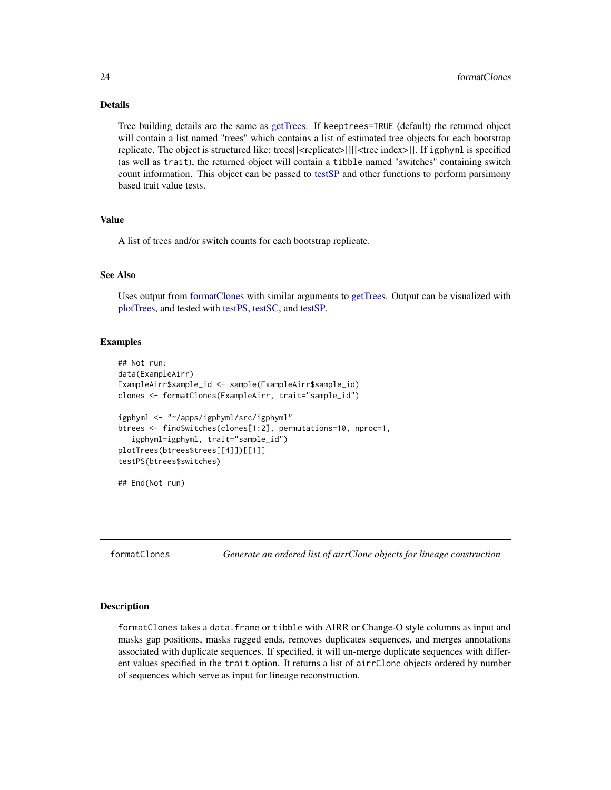#### Details

Tree building details are the same as [getTrees.](#page-30-1) If keeptrees=TRUE (default) the returned object will contain a list named "trees" which contains a list of estimated tree objects for each bootstrap replicate. The object is structured like: trees[[<replicate>]][[<tree index>]]. If igphyml is specified (as well as trait), the returned object will contain a tibble named "switches" containing switch count information. This object can be passed to [testSP](#page-51-1) and other functions to perform parsimony based trait value tests.

#### Value

A list of trees and/or switch counts for each bootstrap replicate.

#### See Also

Uses output from [formatClones](#page-23-1) with similar arguments to [getTrees.](#page-30-1) Output can be visualized with [plotTrees,](#page-38-1) and tested with [testPS,](#page-49-1) [testSC,](#page-50-1) and [testSP.](#page-51-1)

#### Examples

```
## Not run:
data(ExampleAirr)
ExampleAirr$sample_id <- sample(ExampleAirr$sample_id)
clones <- formatClones(ExampleAirr, trait="sample_id")
igphyml <- "~/apps/igphyml/src/igphyml"
btrees <- findSwitches(clones[1:2], permutations=10, nproc=1,
   igphyml=igphyml, trait="sample_id")
plotTrees(btrees$trees[[4]])[[1]]
testPS(btrees$switches)
## End(Not run)
```
<span id="page-23-1"></span>formatClones *Generate an ordered list of airrClone objects for lineage construction*

#### Description

formatClones takes a data.frame or tibble with AIRR or Change-O style columns as input and masks gap positions, masks ragged ends, removes duplicates sequences, and merges annotations associated with duplicate sequences. If specified, it will un-merge duplicate sequences with different values specified in the trait option. It returns a list of airrClone objects ordered by number of sequences which serve as input for lineage reconstruction.

<span id="page-23-0"></span>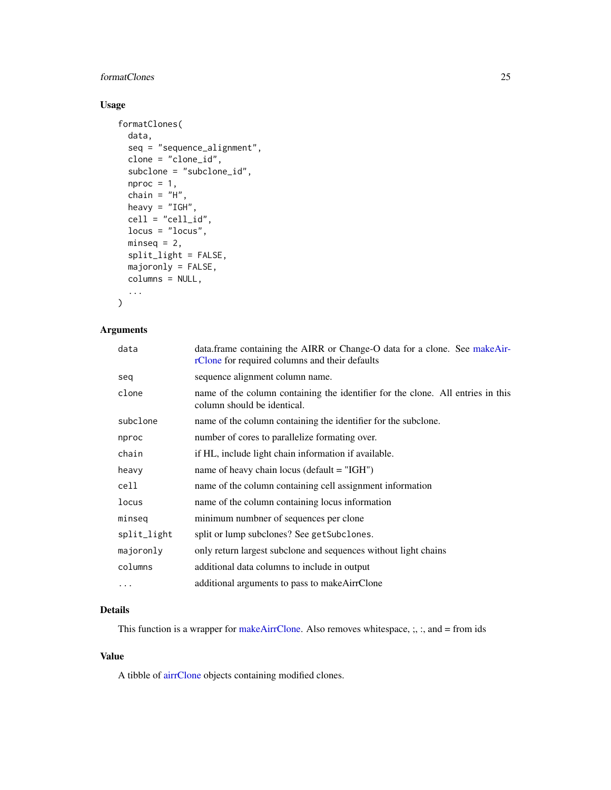#### <span id="page-24-0"></span>formatClones 25

# Usage

```
formatClones(
  data,
  seq = "sequence_alignment",
 clone = "clone_id",
  subclone = "subclone_id",
 nproc = 1,
  chain = "H",heavy = "IGH",
  cell = "cell_id",locus = "locus",
 minesq = 2,
  split_light = FALSE,
 majoronly = FALSE,
 columns = NULL,
  ...
\mathcal{L}
```
# Arguments

| data        | data.frame containing the AIRR or Change-O data for a clone. See makeAir-<br>rClone for required columns and their defaults |
|-------------|-----------------------------------------------------------------------------------------------------------------------------|
| seq         | sequence alignment column name.                                                                                             |
| clone       | name of the column containing the identifier for the clone. All entries in this<br>column should be identical.              |
| subclone    | name of the column containing the identifier for the subclone.                                                              |
| nproc       | number of cores to parallelize formating over.                                                                              |
| chain       | if HL, include light chain information if available.                                                                        |
| heavy       | name of heavy chain locus (default $=$ "IGH")                                                                               |
| cell        | name of the column containing cell assignment information                                                                   |
| locus       | name of the column containing locus information                                                                             |
| minseq      | minimum numbner of sequences per clone                                                                                      |
| split_light | split or lump subclones? See getSubclones.                                                                                  |
| majoronly   | only return largest subclone and sequences without light chains                                                             |
| columns     | additional data columns to include in output                                                                                |
| $\cdots$    | additional arguments to pass to makeAirrClone                                                                               |
|             |                                                                                                                             |

# Details

This function is a wrapper for [makeAirrClone.](#page-32-1) Also removes whitespace, ;, :, and = from ids

#### Value

A tibble of [airrClone](#page-2-1) objects containing modified clones.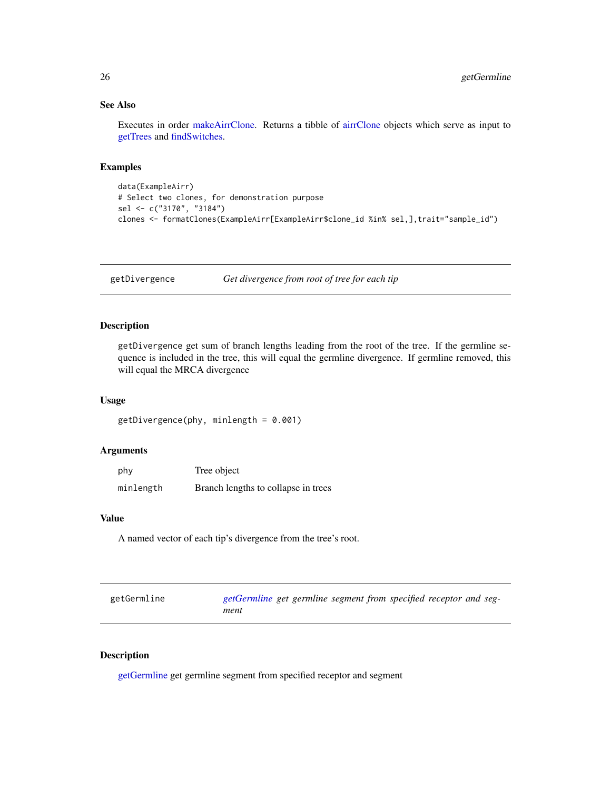#### <span id="page-25-0"></span>See Also

Executes in order [makeAirrClone.](#page-32-1) Returns a tibble of [airrClone](#page-2-1) objects which serve as input to [getTrees](#page-30-1) and [findSwitches.](#page-21-1)

#### Examples

```
data(ExampleAirr)
# Select two clones, for demonstration purpose
sel <- c("3170", "3184")
clones <- formatClones(ExampleAirr[ExampleAirr$clone_id %in% sel,],trait="sample_id")
```
getDivergence *Get divergence from root of tree for each tip*

#### Description

getDivergence get sum of branch lengths leading from the root of the tree. If the germline sequence is included in the tree, this will equal the germline divergence. If germline removed, this will equal the MRCA divergence

#### Usage

```
getDivergence(phy, minlength = 0.001)
```
#### Arguments

| phy       | Tree object                         |
|-----------|-------------------------------------|
| minlength | Branch lengths to collapse in trees |

#### Value

A named vector of each tip's divergence from the tree's root.

<span id="page-25-1"></span>

| getGermline | getGermline get germline segment from specified receptor and seg- |  |  |  |  |
|-------------|-------------------------------------------------------------------|--|--|--|--|
|             | ment                                                              |  |  |  |  |

#### Description

[getGermline](#page-25-1) get germline segment from specified receptor and segment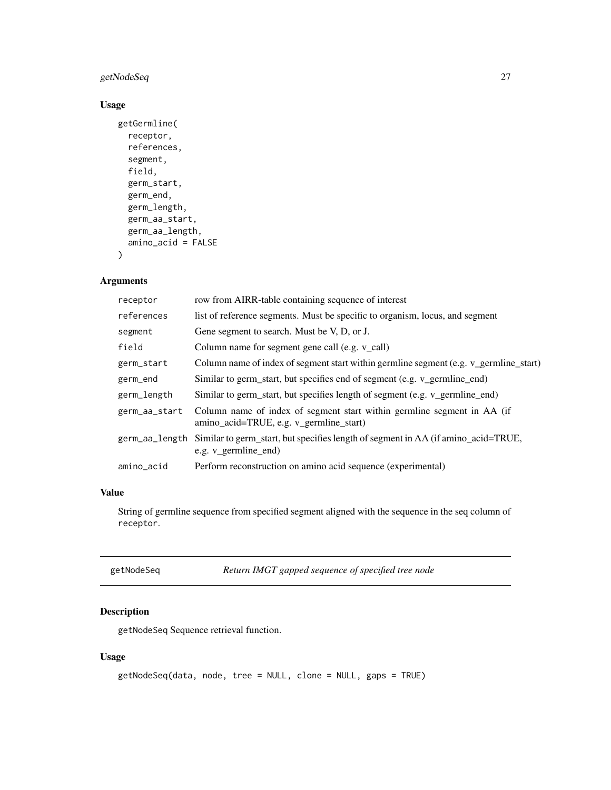# <span id="page-26-0"></span>getNodeSeq 27

# Usage

```
getGermline(
  receptor,
  references,
  segment,
  field,
  germ_start,
  germ_end,
  germ_length,
 germ_aa_start,
  germ_aa_length,
  amino_acid = FALSE
)
```
# Arguments

| receptor       | row from AIRR-table containing sequence of interest                                                                |
|----------------|--------------------------------------------------------------------------------------------------------------------|
| references     | list of reference segments. Must be specific to organism, locus, and segment                                       |
| segment        | Gene segment to search. Must be V, D, or J.                                                                        |
| field          | Column name for segment gene call (e.g. v_call)                                                                    |
| germ_start     | Column name of index of segment start within germline segment (e.g. v_germline_start)                              |
| germ_end       | Similar to germ_start, but specifies end of segment (e.g. v_germline_end)                                          |
| germ_length    | Similar to germ_start, but specifies length of segment (e.g. v_germline_end)                                       |
| germ_aa_start  | Column name of index of segment start within germline segment in AA (if<br>amino_acid=TRUE, e.g. v_germline_start) |
| germ_aa_length | Similar to germ_start, but specifies length of segment in AA (if amino_acid=TRUE,<br>e.g. v germline end)          |
| amino_acid     | Perform reconstruction on amino acid sequence (experimental)                                                       |
|                |                                                                                                                    |

#### Value

String of germline sequence from specified segment aligned with the sequence in the seq column of receptor.

getNodeSeq *Return IMGT gapped sequence of specified tree node*

# Description

getNodeSeq Sequence retrieval function.

#### Usage

```
getNodeSeq(data, node, tree = NULL, clone = NULL, gaps = TRUE)
```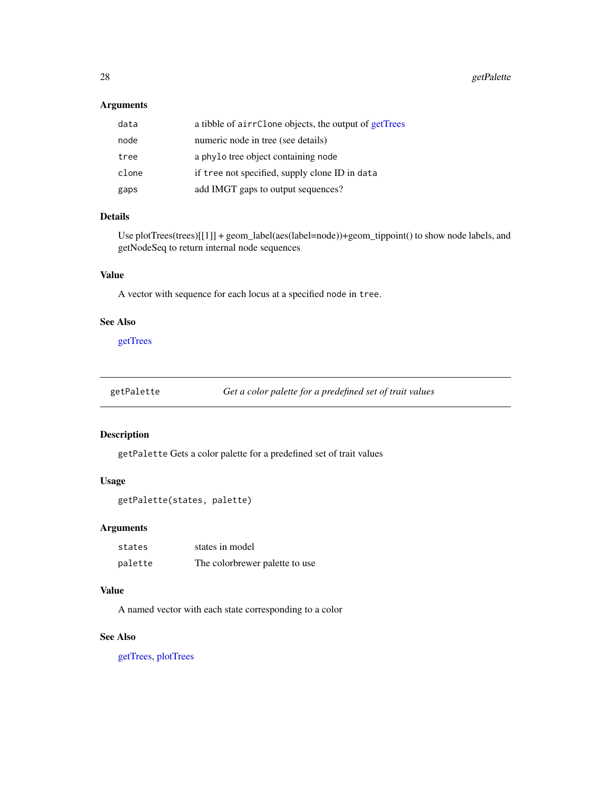# <span id="page-27-0"></span>Arguments

| data  | a tibble of airrClone objects, the output of getTrees |
|-------|-------------------------------------------------------|
| node  | numeric node in tree (see details)                    |
| tree  | a phylo tree object containing node                   |
| clone | if tree not specified, supply clone ID in data        |
| gaps  | add IMGT gaps to output sequences?                    |

#### Details

Use plotTrees(trees)[[1]] + geom\_label(aes(label=node))+geom\_tippoint() to show node labels, and getNodeSeq to return internal node sequences

# Value

A vector with sequence for each locus at a specified node in tree.

#### See Also

[getTrees](#page-30-1)

<span id="page-27-1"></span>getPalette *Get a color palette for a predefined set of trait values*

#### Description

getPalette Gets a color palette for a predefined set of trait values

#### Usage

```
getPalette(states, palette)
```
#### Arguments

| states  | states in model                |
|---------|--------------------------------|
| palette | The colorbrewer palette to use |

#### Value

A named vector with each state corresponding to a color

# See Also

[getTrees,](#page-30-1) [plotTrees](#page-38-1)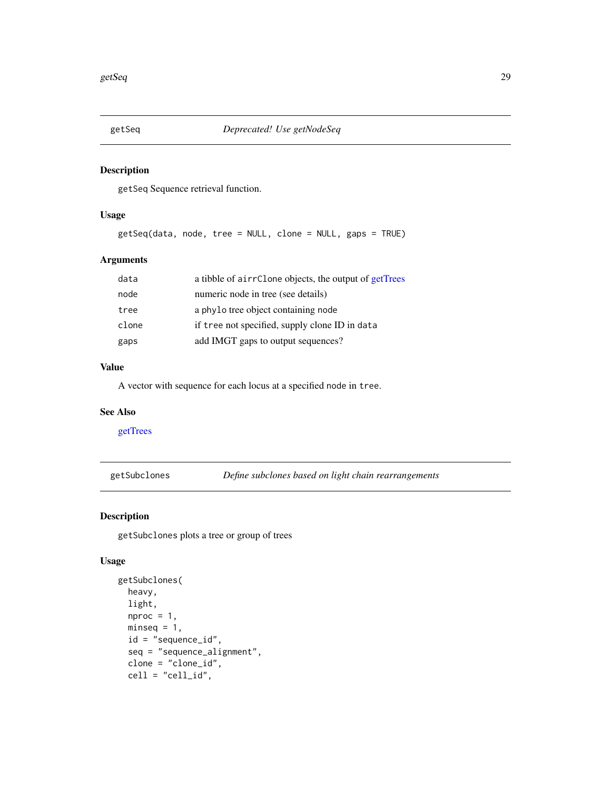<span id="page-28-0"></span>

getSeq Sequence retrieval function.

#### Usage

getSeq(data, node, tree = NULL, clone = NULL, gaps = TRUE)

# Arguments

| data  | a tibble of airrClone objects, the output of getTrees |
|-------|-------------------------------------------------------|
| node  | numeric node in tree (see details)                    |
| tree  | a phylo tree object containing node                   |
| clone | if tree not specified, supply clone ID in data        |
| gaps  | add IMGT gaps to output sequences?                    |

#### Value

A vector with sequence for each locus at a specified node in tree.

# See Also

[getTrees](#page-30-1)

getSubclones *Define subclones based on light chain rearrangements*

#### Description

getSubclones plots a tree or group of trees

#### Usage

```
getSubclones(
  heavy,
  light,
 nproc = 1,
 minseq = 1,
  id = "sequence_id",
  seq = "sequence_alignment",
  clone = "clone_id",
  cell = "cell_id",
```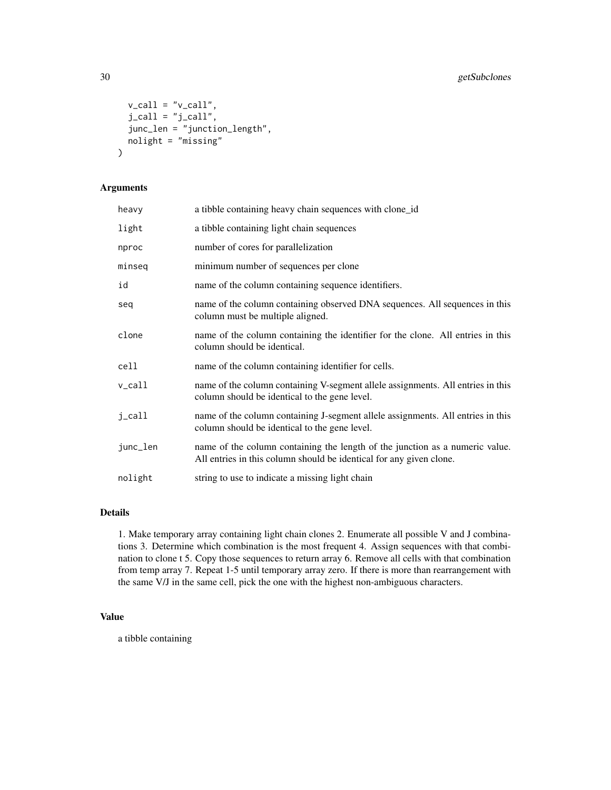```
v_{cal} = "v_{cal}]',
  j<sub>call</sub> = "j<sub>call</sub>",
  junc_len = "junction_length",
  nolight = "missing"
)
```
#### Arguments

| heavy    | a tibble containing heavy chain sequences with clone_id                                                                                             |
|----------|-----------------------------------------------------------------------------------------------------------------------------------------------------|
| light    | a tibble containing light chain sequences                                                                                                           |
| nproc    | number of cores for parallelization                                                                                                                 |
| minseq   | minimum number of sequences per clone                                                                                                               |
| id       | name of the column containing sequence identifiers.                                                                                                 |
| seq      | name of the column containing observed DNA sequences. All sequences in this<br>column must be multiple aligned.                                     |
| clone    | name of the column containing the identifier for the clone. All entries in this<br>column should be identical.                                      |
| cell     | name of the column containing identifier for cells.                                                                                                 |
| v_call   | name of the column containing V-segment allele assignments. All entries in this<br>column should be identical to the gene level.                    |
| j_call   | name of the column containing J-segment allele assignments. All entries in this<br>column should be identical to the gene level.                    |
| junc_len | name of the column containing the length of the junction as a numeric value.<br>All entries in this column should be identical for any given clone. |
| nolight  | string to use to indicate a missing light chain                                                                                                     |

# Details

1. Make temporary array containing light chain clones 2. Enumerate all possible V and J combinations 3. Determine which combination is the most frequent 4. Assign sequences with that combination to clone t 5. Copy those sequences to return array 6. Remove all cells with that combination from temp array 7. Repeat 1-5 until temporary array zero. If there is more than rearrangement with the same V/J in the same cell, pick the one with the highest non-ambiguous characters.

#### Value

a tibble containing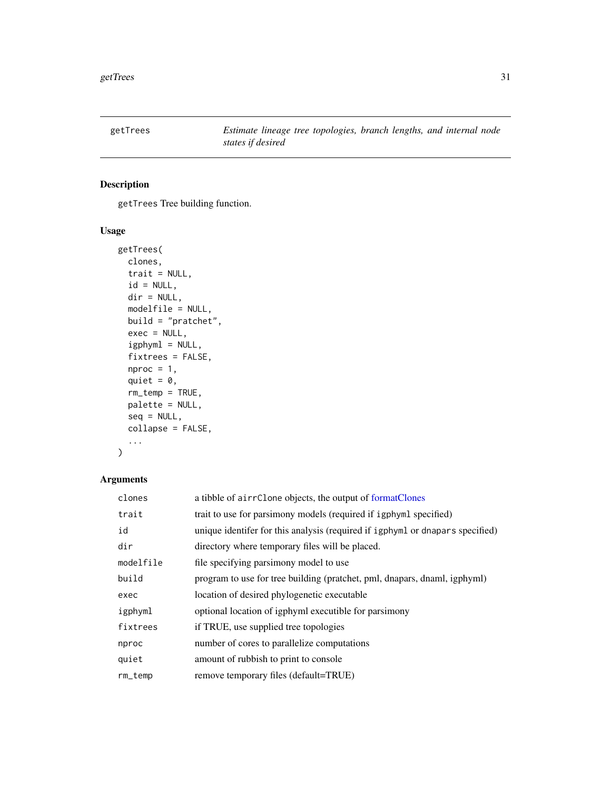<span id="page-30-1"></span><span id="page-30-0"></span>

getTrees Tree building function.

# Usage

```
getTrees(
  clones,
  trait = NULL,
  id = NULL,dir = NULL,
  modelfile = NULL,
  build = "pratchet",
  exec = NULL,
  igphyml = NULL,
  fixtrees = FALSE,
  nproc = 1,quiet = \theta,
  rm_temp = TRUE,
  palette = NULL,
  seq = NULL,
  collapse = FALSE,
  ...
)
```

| clones    | a tibble of airrClone objects, the output of formatClones                     |
|-----------|-------------------------------------------------------------------------------|
| trait     | trait to use for parsimony models (required if igphyml specified)             |
| id        | unique identifer for this analysis (required if igphyml or dnapars specified) |
| dir       | directory where temporary files will be placed.                               |
| modelfile | file specifying parsimony model to use                                        |
| build     | program to use for tree building (pratchet, pml, dnapars, dnaml, igphyml)     |
| exec      | location of desired phylogenetic executable                                   |
| igphyml   | optional location of igphyml executible for parsimony                         |
| fixtrees  | if TRUE, use supplied tree topologies                                         |
| nproc     | number of cores to parallelize computations                                   |
| quiet     | amount of rubbish to print to console.                                        |
| $rm_t$    | remove temporary files (default=TRUE)                                         |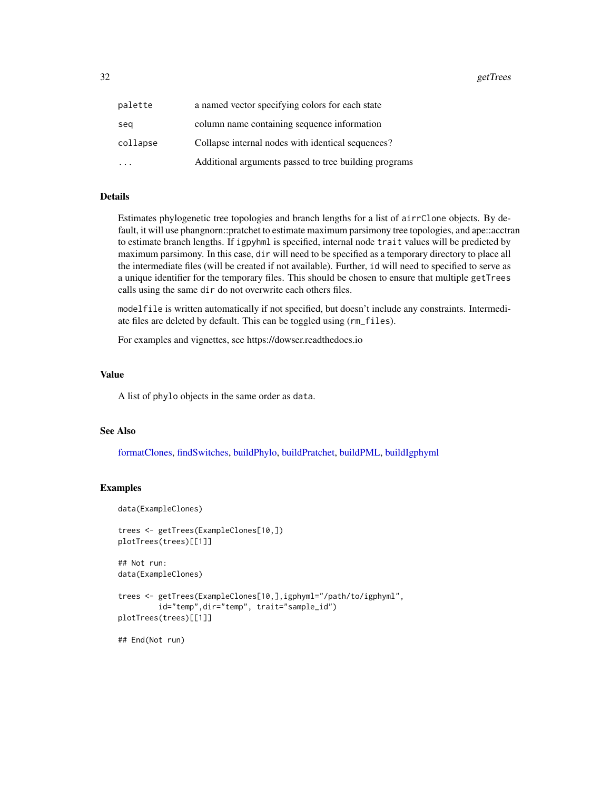<span id="page-31-0"></span>

| palette  | a named vector specifying colors for each state       |
|----------|-------------------------------------------------------|
| sea      | column name containing sequence information           |
| collapse | Collapse internal nodes with identical sequences?     |
|          | Additional arguments passed to tree building programs |

#### Details

Estimates phylogenetic tree topologies and branch lengths for a list of airrClone objects. By default, it will use phangnorn::pratchet to estimate maximum parsimony tree topologies, and ape::acctran to estimate branch lengths. If igpyhml is specified, internal node trait values will be predicted by maximum parsimony. In this case, dir will need to be specified as a temporary directory to place all the intermediate files (will be created if not available). Further, id will need to specified to serve as a unique identifier for the temporary files. This should be chosen to ensure that multiple getTrees calls using the same dir do not overwrite each others files.

modelfile is written automatically if not specified, but doesn't include any constraints. Intermediate files are deleted by default. This can be toggled using (rm\_files).

For examples and vignettes, see https://dowser.readthedocs.io

#### Value

A list of phylo objects in the same order as data.

#### See Also

[formatClones,](#page-23-1) [findSwitches,](#page-21-1) [buildPhylo,](#page-9-1) [buildPratchet,](#page-11-1) [buildPML,](#page-10-1) [buildIgphyml](#page-7-1)

### Examples

```
data(ExampleClones)
```

```
trees <- getTrees(ExampleClones[10,])
plotTrees(trees)[[1]]
```
## Not run: data(ExampleClones)

```
trees <- getTrees(ExampleClones[10,],igphyml="/path/to/igphyml",
         id="temp",dir="temp", trait="sample_id")
plotTrees(trees)[[1]]
```

```
## End(Not run)
```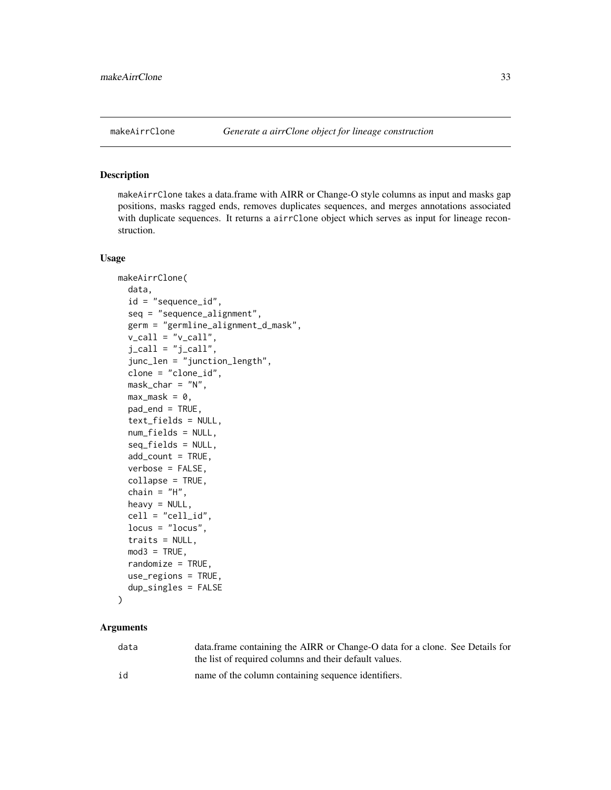<span id="page-32-1"></span><span id="page-32-0"></span>makeAirrClone takes a data.frame with AIRR or Change-O style columns as input and masks gap positions, masks ragged ends, removes duplicates sequences, and merges annotations associated with duplicate sequences. It returns a airrClone object which serves as input for lineage reconstruction.

#### Usage

```
makeAirrClone(
  data,
  id = "sequence_id",
  seq = "sequence_alignment",
  germ = "germline_alignment_d_mask",
  v_{call} = "v_{call}",
  j<sub>call</sub> = "j<sub>call</sub>",
  junc_len = "junction_length",
  clone = "clone_id",
  mask\_char = "N",max\_mask = 0,
  pad_end = TRUE,
  text_fields = NULL,
  num_fields = NULL,
  seq_fields = NULL,
  add_count = TRUE,
  verbose = FALSE,
  collapse = TRUE,
  chain = "H",heavy = NULL,
  cell = "cell_id",
  locus = "locus",traits = NULL,
  mod3 = TRUE,randomize = TRUE,
  use_regions = TRUE,
  dup_singles = FALSE
)
```

| data | data.frame containing the AIRR or Change-O data for a clone. See Details for |
|------|------------------------------------------------------------------------------|
|      | the list of required columns and their default values.                       |
| id   | name of the column containing sequence identifiers.                          |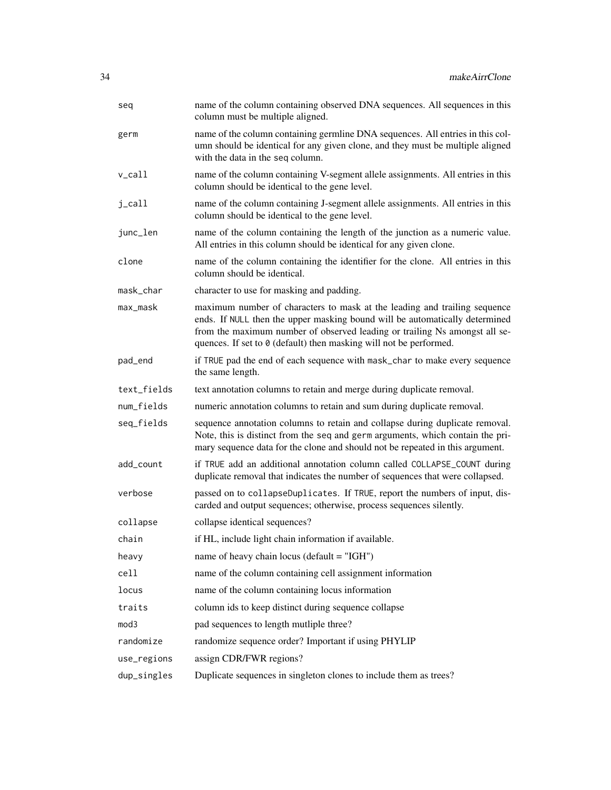| seq         | name of the column containing observed DNA sequences. All sequences in this<br>column must be multiple aligned.                                                                                                                                                                                              |
|-------------|--------------------------------------------------------------------------------------------------------------------------------------------------------------------------------------------------------------------------------------------------------------------------------------------------------------|
| germ        | name of the column containing germline DNA sequences. All entries in this col-<br>umn should be identical for any given clone, and they must be multiple aligned<br>with the data in the seq column.                                                                                                         |
| v_call      | name of the column containing V-segment allele assignments. All entries in this<br>column should be identical to the gene level.                                                                                                                                                                             |
| j_call      | name of the column containing J-segment allele assignments. All entries in this<br>column should be identical to the gene level.                                                                                                                                                                             |
| junc_len    | name of the column containing the length of the junction as a numeric value.<br>All entries in this column should be identical for any given clone.                                                                                                                                                          |
| clone       | name of the column containing the identifier for the clone. All entries in this<br>column should be identical.                                                                                                                                                                                               |
| mask_char   | character to use for masking and padding.                                                                                                                                                                                                                                                                    |
| max_mask    | maximum number of characters to mask at the leading and trailing sequence<br>ends. If NULL then the upper masking bound will be automatically determined<br>from the maximum number of observed leading or trailing Ns amongst all se-<br>quences. If set to 0 (default) then masking will not be performed. |
| pad_end     | if TRUE pad the end of each sequence with mask_char to make every sequence<br>the same length.                                                                                                                                                                                                               |
| text_fields | text annotation columns to retain and merge during duplicate removal.                                                                                                                                                                                                                                        |
| num_fields  | numeric annotation columns to retain and sum during duplicate removal.                                                                                                                                                                                                                                       |
| seq_fields  | sequence annotation columns to retain and collapse during duplicate removal.<br>Note, this is distinct from the seq and germ arguments, which contain the pri-<br>mary sequence data for the clone and should not be repeated in this argument.                                                              |
| add_count   | if TRUE add an additional annotation column called COLLAPSE_COUNT during<br>duplicate removal that indicates the number of sequences that were collapsed.                                                                                                                                                    |
| verbose     | passed on to collapseDuplicates. If TRUE, report the numbers of input, dis-<br>carded and output sequences; otherwise, process sequences silently.                                                                                                                                                           |
| collapse    | collapse identical sequences?                                                                                                                                                                                                                                                                                |
| chain       | if HL, include light chain information if available.                                                                                                                                                                                                                                                         |
| heavy       | name of heavy chain locus (default $=$ "IGH")                                                                                                                                                                                                                                                                |
| cell        | name of the column containing cell assignment information                                                                                                                                                                                                                                                    |
| locus       | name of the column containing locus information                                                                                                                                                                                                                                                              |
| traits      | column ids to keep distinct during sequence collapse                                                                                                                                                                                                                                                         |
| mod3        | pad sequences to length mutliple three?                                                                                                                                                                                                                                                                      |
| randomize   | randomize sequence order? Important if using PHYLIP                                                                                                                                                                                                                                                          |
| use_regions | assign CDR/FWR regions?                                                                                                                                                                                                                                                                                      |
| dup_singles | Duplicate sequences in singleton clones to include them as trees?                                                                                                                                                                                                                                            |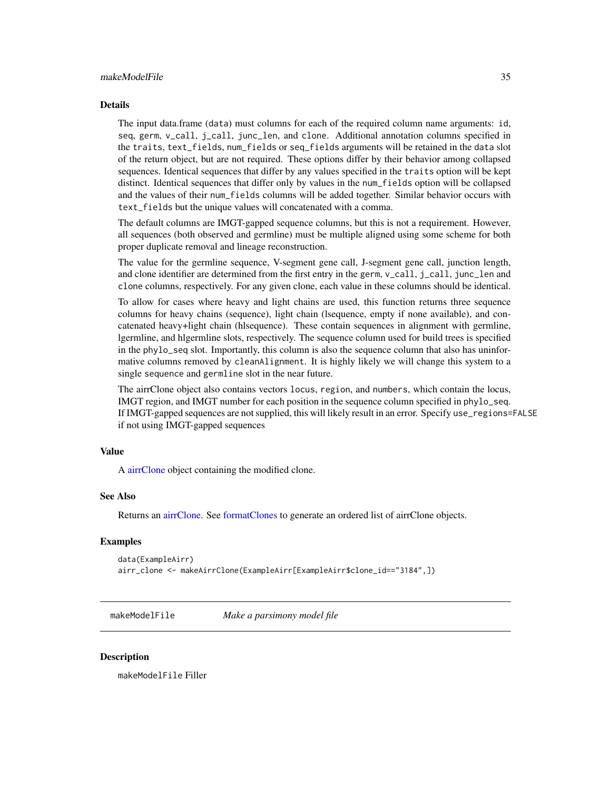#### <span id="page-34-0"></span>makeModelFile 35

#### Details

The input data.frame (data) must columns for each of the required column name arguments: id, seq, germ, v\_call, j\_call, junc\_len, and clone. Additional annotation columns specified in the traits, text\_fields, num\_fields or seq\_fields arguments will be retained in the data slot of the return object, but are not required. These options differ by their behavior among collapsed sequences. Identical sequences that differ by any values specified in the traits option will be kept distinct. Identical sequences that differ only by values in the num\_fields option will be collapsed and the values of their num\_fields columns will be added together. Similar behavior occurs with text\_fields but the unique values will concatenated with a comma.

The default columns are IMGT-gapped sequence columns, but this is not a requirement. However, all sequences (both observed and germline) must be multiple aligned using some scheme for both proper duplicate removal and lineage reconstruction.

The value for the germline sequence, V-segment gene call, J-segment gene call, junction length, and clone identifier are determined from the first entry in the germ, v\_call, j\_call, junc\_len and clone columns, respectively. For any given clone, each value in these columns should be identical.

To allow for cases where heavy and light chains are used, this function returns three sequence columns for heavy chains (sequence), light chain (lsequence, empty if none available), and concatenated heavy+light chain (hlsequence). These contain sequences in alignment with germline, lgermline, and hlgermline slots, respectively. The sequence column used for build trees is specified in the phylo\_seq slot. Importantly, this column is also the sequence column that also has uninformative columns removed by cleanAlignment. It is highly likely we will change this system to a single sequence and germline slot in the near future.

The airrClone object also contains vectors locus, region, and numbers, which contain the locus, IMGT region, and IMGT number for each position in the sequence column specified in phylo\_seq. If IMGT-gapped sequences are not supplied, this will likely result in an error. Specify use\_regions=FALSE if not using IMGT-gapped sequences

# Value

A [airrClone](#page-2-1) object containing the modified clone.

#### See Also

Returns an [airrClone.](#page-2-1) See [formatClones](#page-23-1) to generate an ordered list of airrClone objects.

#### Examples

```
data(ExampleAirr)
airr_clone <- makeAirrClone(ExampleAirr[ExampleAirr$clone_id=="3184",])
```
<span id="page-34-1"></span>makeModelFile *Make a parsimony model file*

#### **Description**

makeModelFile Filler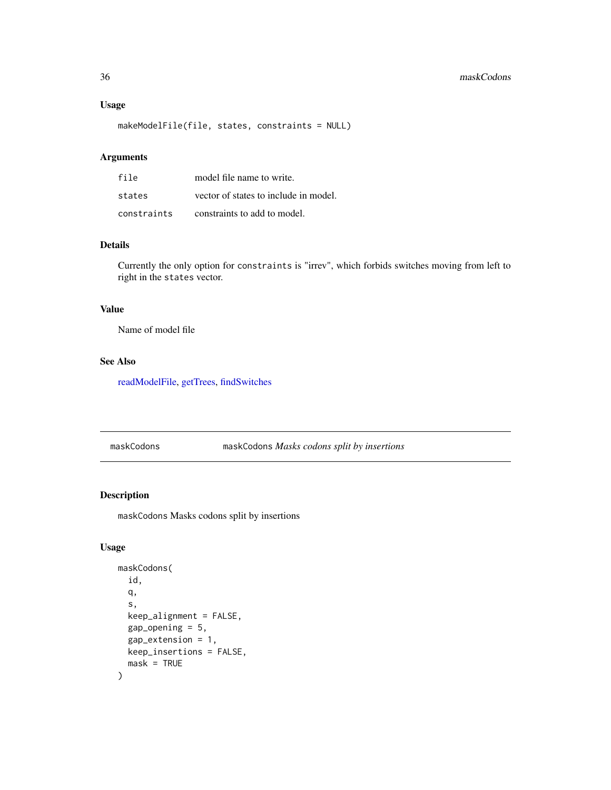#### Usage

makeModelFile(file, states, constraints = NULL)

# Arguments

| file        | model file name to write.             |
|-------------|---------------------------------------|
| states      | vector of states to include in model. |
| constraints | constraints to add to model.          |

#### Details

Currently the only option for constraints is "irrev", which forbids switches moving from left to right in the states vector.

# Value

Name of model file

# See Also

[readModelFile,](#page-42-1) [getTrees,](#page-30-1) [findSwitches](#page-21-1)

<span id="page-35-1"></span>maskCodons maskCodons *Masks codons split by insertions*

#### Description

maskCodons Masks codons split by insertions

#### Usage

```
maskCodons(
  id,
  q,
  s,
  keep_alignment = FALSE,
  gap\_opening = 5,
  gap_extension = 1,
  keep_insertions = FALSE,
  mask = TRUE
\mathcal{E}
```
<span id="page-35-0"></span>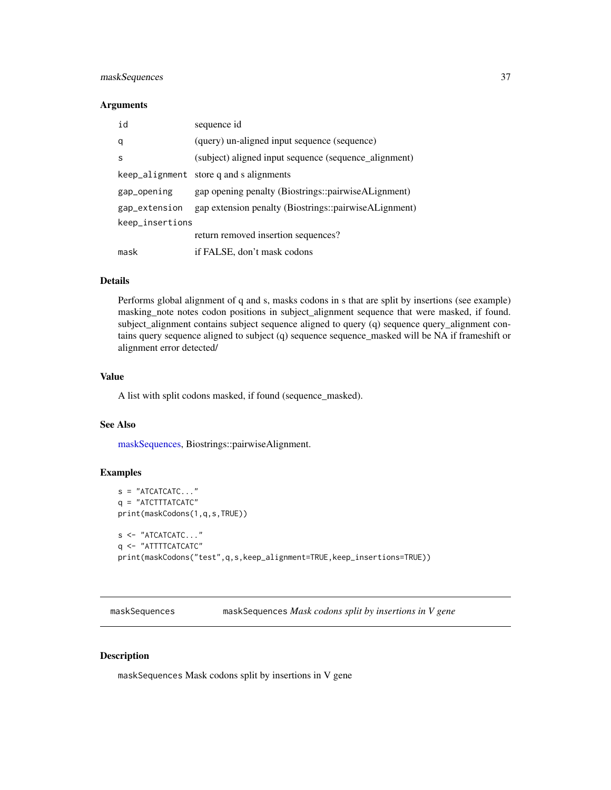# <span id="page-36-0"></span>maskSequences 37

#### **Arguments**

| id              | sequence id                                           |  |
|-----------------|-------------------------------------------------------|--|
| q               | (query) un-aligned input sequence (sequence)          |  |
| S               | (subject) aligned input sequence (sequence_alignment) |  |
|                 | keep_alignment store q and s alignments               |  |
| gap_opening     | gap opening penalty (Biostrings::pairwiseALignment)   |  |
| gap_extension   | gap extension penalty (Biostrings::pairwiseALignment) |  |
| keep_insertions |                                                       |  |
|                 | return removed insertion sequences?                   |  |
| mask            | if FALSE, don't mask codons                           |  |

# Details

Performs global alignment of q and s, masks codons in s that are split by insertions (see example) masking\_note notes codon positions in subject\_alignment sequence that were masked, if found. subject\_alignment contains subject sequence aligned to query (q) sequence query\_alignment contains query sequence aligned to subject (q) sequence sequence\_masked will be NA if frameshift or alignment error detected/

#### Value

A list with split codons masked, if found (sequence\_masked).

#### See Also

[maskSequences,](#page-36-1) Biostrings::pairwiseAlignment.

#### Examples

```
s = "ATCATCATC..."q = "ATCTTTATCATC'.print(maskCodons(1,q,s,TRUE))
s <- "ATCATCATC..."
q <- "ATTTTCATCATC"
print(maskCodons("test",q,s,keep_alignment=TRUE,keep_insertions=TRUE))
```
<span id="page-36-1"></span>maskSequences maskSequences *Mask codons split by insertions in V gene*

#### Description

maskSequences Mask codons split by insertions in V gene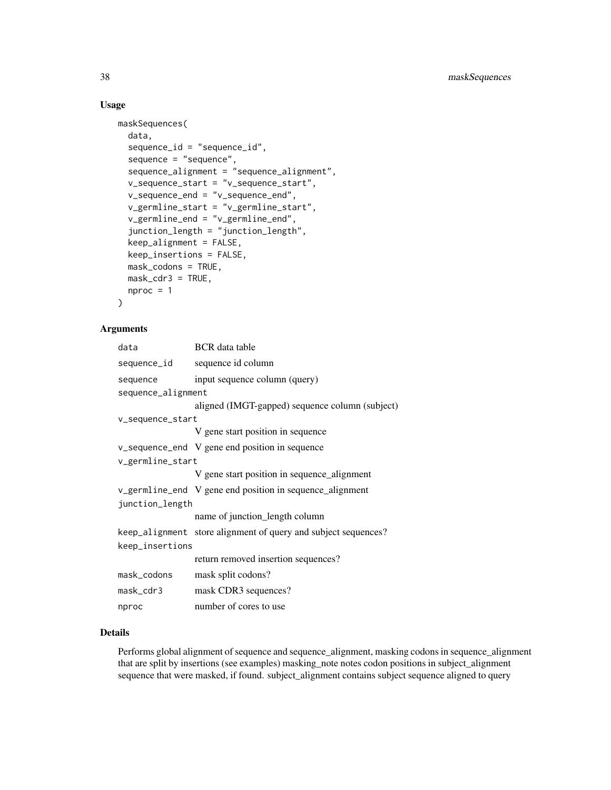# Usage

```
maskSequences(
 data,
  sequence_id = "sequence_id",
  sequence = "sequence",
  sequence_alignment = "sequence_alignment",
  v_sequence_start = "v_sequence_start",
  v_sequence_end = "v_sequence_end",
  v_germline_start = "v_germline_start",
  v_germline_end = "v_germline_end",
  junction_length = "junction_length",
  keep_alignment = FALSE,
 keep_insertions = FALSE,
 mask_codons = TRUE,
 mask_cdr3 = TRUE,nproc = 1)
```
# Arguments

| data               | <b>BCR</b> data table                                          |
|--------------------|----------------------------------------------------------------|
| sequence_id        | sequence id column                                             |
| sequence           | input sequence column (query)                                  |
| sequence_alignment |                                                                |
|                    | aligned (IMGT-gapped) sequence column (subject)                |
| v_sequence_start   |                                                                |
|                    | V gene start position in sequence                              |
|                    | v_sequence_end V gene end position in sequence                 |
| v_germline_start   |                                                                |
|                    | V gene start position in sequence_alignment                    |
|                    | v_germline_end V gene end position in sequence_alignment       |
| junction_length    |                                                                |
|                    | name of junction_length column                                 |
|                    | keep_alignment store alignment of query and subject sequences? |
| keep_insertions    |                                                                |
|                    | return removed insertion sequences?                            |
| mask_codons        | mask split codons?                                             |
| mask_cdr3          | mask CDR3 sequences?                                           |
| nproc              | number of cores to use                                         |

#### Details

Performs global alignment of sequence and sequence\_alignment, masking codons in sequence\_alignment that are split by insertions (see examples) masking\_note notes codon positions in subject\_alignment sequence that were masked, if found. subject\_alignment contains subject sequence aligned to query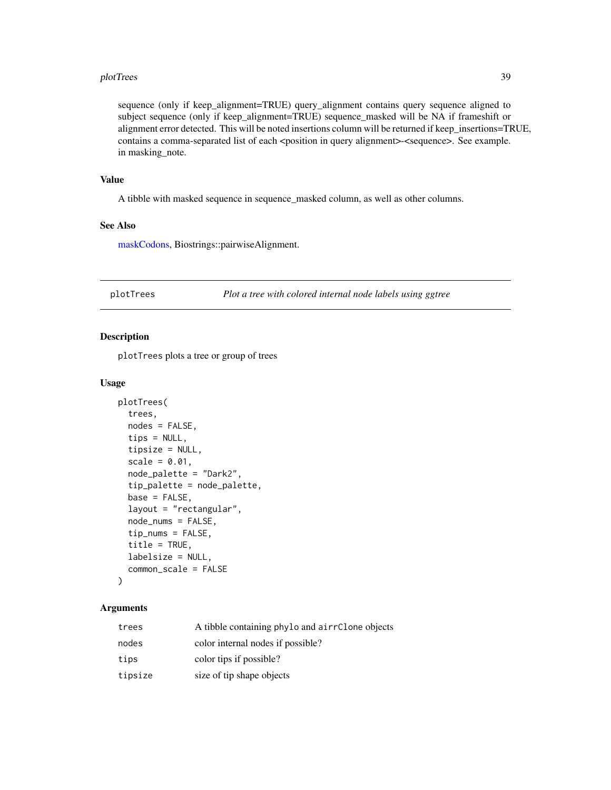#### <span id="page-38-0"></span>plotTrees 39

sequence (only if keep\_alignment=TRUE) query\_alignment contains query sequence aligned to subject sequence (only if keep\_alignment=TRUE) sequence\_masked will be NA if frameshift or alignment error detected. This will be noted insertions column will be returned if keep insertions=TRUE, contains a comma-separated list of each <position in query alignment>-<sequence>. See example. in masking\_note.

#### Value

A tibble with masked sequence in sequence\_masked column, as well as other columns.

#### See Also

[maskCodons,](#page-35-1) Biostrings::pairwiseAlignment.

<span id="page-38-1"></span>plotTrees *Plot a tree with colored internal node labels using ggtree*

#### Description

plotTrees plots a tree or group of trees

#### Usage

```
plotTrees(
  trees,
  nodes = FALSE,
  tips = NULL,
  tipsize = NULL,
  scale = 0.01,node_palette = "Dark2",
  tip_palette = node_palette,
  base = FALSE,layout = "rectangular",
  node_nums = FALSE,
  tip_nums = FALSE,
  title = TRUE,
  labelsize = NULL,
  common_scale = FALSE
)
```

| trees   | A tibble containing phylo and airrClone objects |
|---------|-------------------------------------------------|
| nodes   | color internal nodes if possible?               |
| tips    | color tips if possible?                         |
| tipsize | size of tip shape objects                       |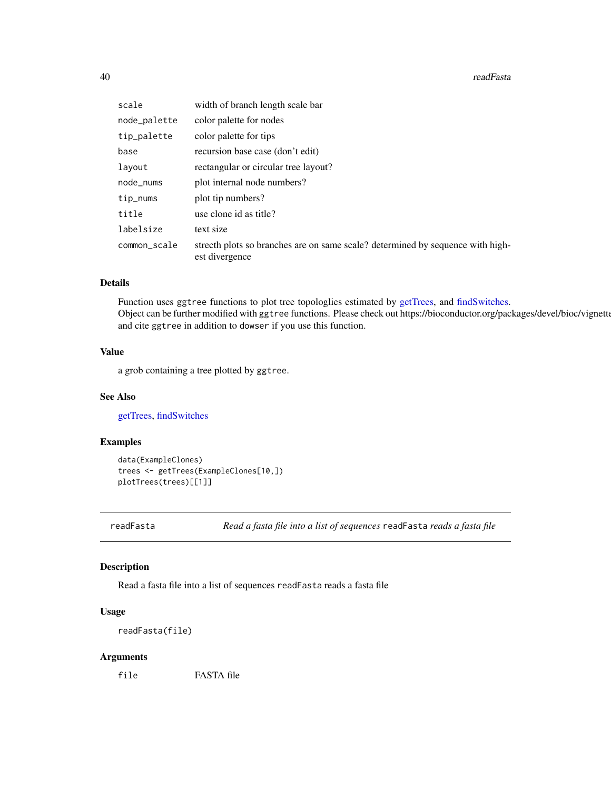#### <span id="page-39-0"></span>40 readFasta

| scale        | width of branch length scale bar                                                                 |
|--------------|--------------------------------------------------------------------------------------------------|
| node_palette | color palette for nodes                                                                          |
| tip_palette  | color palette for tips                                                                           |
| base         | recursion base case (don't edit)                                                                 |
| layout       | rectangular or circular tree layout?                                                             |
| node_nums    | plot internal node numbers?                                                                      |
| tip_nums     | plot tip numbers?                                                                                |
| title        | use clone id as title?                                                                           |
| labelsize    | text size                                                                                        |
| common_scale | strecth plots so branches are on same scale? determined by sequence with high-<br>est divergence |

# Details

Function uses ggtree functions to plot tree topologlies estimated by [getTrees,](#page-30-1) and [findSwitches.](#page-21-1) Object can be further modified with ggtree functions. Please check out https://bioconductor.org/packages/devel/bioc/vignette and cite ggtree in addition to dowser if you use this function.

### Value

a grob containing a tree plotted by ggtree.

#### See Also

[getTrees,](#page-30-1) [findSwitches](#page-21-1)

#### Examples

```
data(ExampleClones)
trees <- getTrees(ExampleClones[10,])
plotTrees(trees)[[1]]
```
readFasta *Read a fasta file into a list of sequences* readFasta *reads a fasta file*

#### Description

Read a fasta file into a list of sequences readFasta reads a fasta file

#### Usage

readFasta(file)

#### Arguments

file FASTA file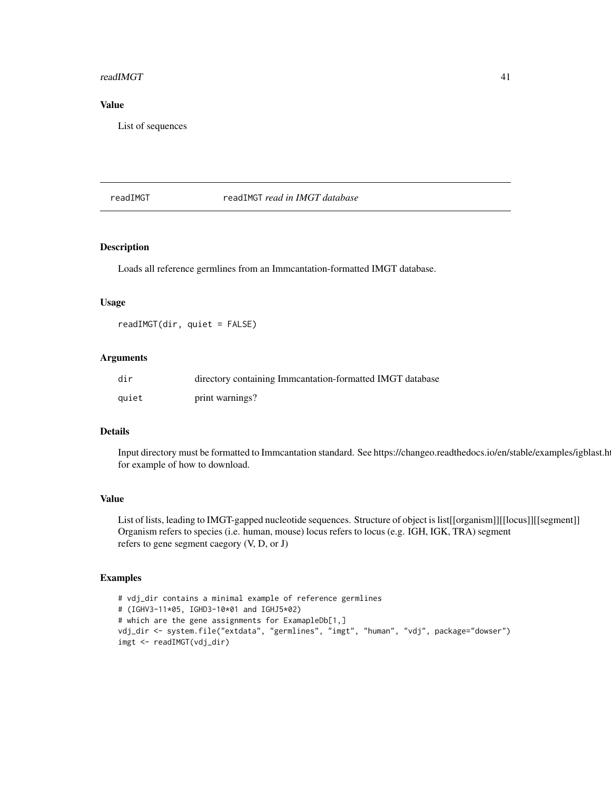#### <span id="page-40-0"></span>readIMGT 41

#### Value

List of sequences

# <span id="page-40-1"></span>readIMGT readIMGT *read in IMGT database*

## Description

Loads all reference germlines from an Immcantation-formatted IMGT database.

#### Usage

readIMGT(dir, quiet = FALSE)

#### Arguments

| dir   | directory containing Immeantation-formatted IMGT database |
|-------|-----------------------------------------------------------|
| quiet | print warnings?                                           |

# Details

Input directory must be formatted to Immcantation standard. See https://changeo.readthedocs.io/en/stable/examples/igblast.h for example of how to download.

#### Value

List of lists, leading to IMGT-gapped nucleotide sequences. Structure of object is list[[organism]][[locus]][[segment]] Organism refers to species (i.e. human, mouse) locus refers to locus (e.g. IGH, IGK, TRA) segment refers to gene segment caegory (V, D, or J)

# Examples

```
# vdj_dir contains a minimal example of reference germlines
# (IGHV3-11*05, IGHD3-10*01 and IGHJ5*02)
# which are the gene assignments for ExamapleDb[1,]
vdj_dir <- system.file("extdata", "germlines", "imgt", "human", "vdj", package="dowser")
imgt <- readIMGT(vdj_dir)
```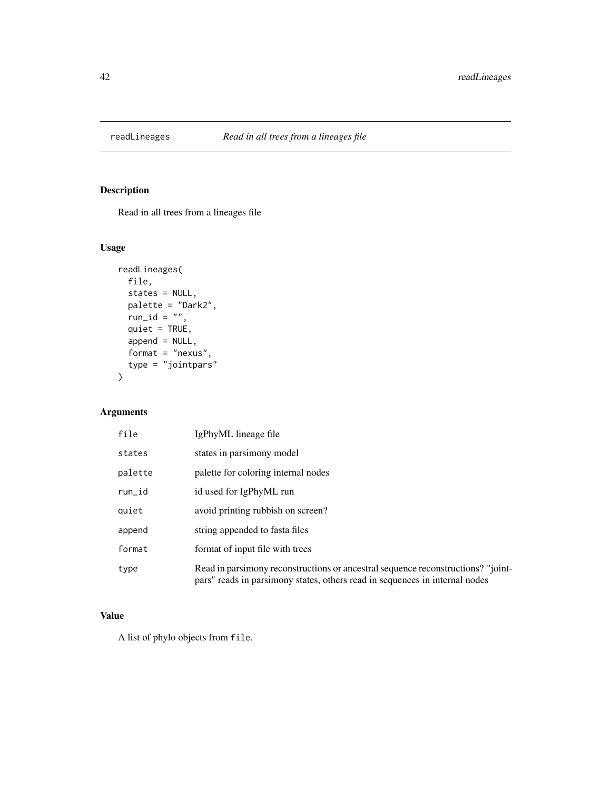<span id="page-41-0"></span>

Read in all trees from a lineages file

# Usage

```
readLineages(
 file,
  states = NULL,
 palette = "Dark2",
 run_id = ",
 quiet = TRUE,
  append = NULL,
 format = "{}nexus",
 type = "jointpars"
)
```
# Arguments

| file    | IgPhyML lineage file                                                                                                                                            |
|---------|-----------------------------------------------------------------------------------------------------------------------------------------------------------------|
| states  | states in parsimony model                                                                                                                                       |
| palette | palette for coloring internal nodes                                                                                                                             |
| run_id  | id used for IgPhyML run                                                                                                                                         |
| quiet   | avoid printing rubbish on screen?                                                                                                                               |
| append  | string appended to fasta files                                                                                                                                  |
| format  | format of input file with trees                                                                                                                                 |
| type    | Read in parsimony reconstructions or ancestral sequence reconstructions? "joint-<br>pars" reads in parsimony states, others read in sequences in internal nodes |

# Value

A list of phylo objects from file.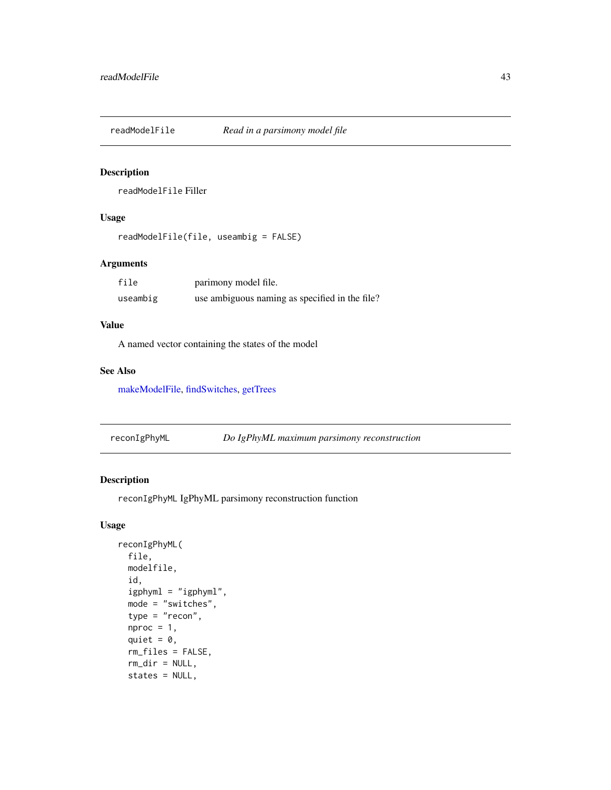<span id="page-42-1"></span><span id="page-42-0"></span>readModelFile *Read in a parsimony model file*

#### Description

readModelFile Filler

#### Usage

```
readModelFile(file, useambig = FALSE)
```
# Arguments

| file     | parimony model file.                           |
|----------|------------------------------------------------|
| useambig | use ambiguous naming as specified in the file? |

# Value

A named vector containing the states of the model

#### See Also

[makeModelFile,](#page-34-1) [findSwitches,](#page-21-1) [getTrees](#page-30-1)

reconIgPhyML *Do IgPhyML maximum parsimony reconstruction*

# Description

reconIgPhyML IgPhyML parsimony reconstruction function

# Usage

```
reconIgPhyML(
 file,
 modelfile,
  id,
  igphyml = "igphyml",
 mode = "switches",
  type = "recon",
 nproc = 1,quiet = \theta,
  rm_files = FALSE,
  rm_dir = NULL,
 states = NULL,
```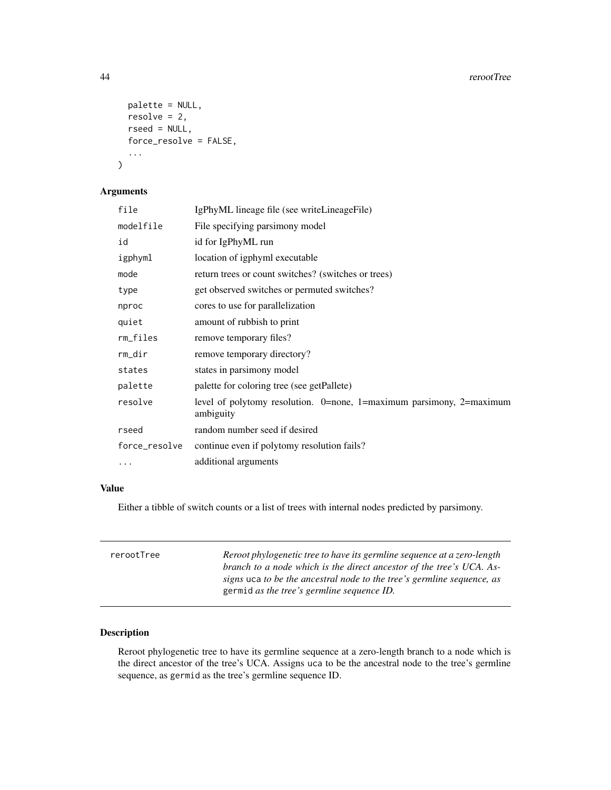```
palette = NULL,
 resolve = 2,
 rseed = NULL,
 force_resolve = FALSE,
  ...
)
```
# Arguments

| file          | IgPhyML lineage file (see writeLineageFile)                                          |
|---------------|--------------------------------------------------------------------------------------|
| modelfile     | File specifying parsimony model                                                      |
| id            | id for IgPhyML run                                                                   |
| igphyml       | location of igphyml executable                                                       |
| mode          | return trees or count switches? (switches or trees)                                  |
| type          | get observed switches or permuted switches?                                          |
| nproc         | cores to use for parallelization                                                     |
| quiet         | amount of rubbish to print                                                           |
| rm_files      | remove temporary files?                                                              |
| rm_dir        | remove temporary directory?                                                          |
| states        | states in parsimony model                                                            |
| palette       | palette for coloring tree (see getPallete)                                           |
| resolve       | level of polytomy resolution. $0$ =none, 1=maximum parsimony, 2=maximum<br>ambiguity |
| rseed         | random number seed if desired                                                        |
| force_resolve | continue even if polytomy resolution fails?                                          |
|               | additional arguments                                                                 |
|               |                                                                                      |

# Value

Either a tibble of switch counts or a list of trees with internal nodes predicted by parsimony.

| rerootTree | Reroot phylogenetic tree to have its germline sequence at a zero-length<br>branch to a node which is the direct ancestor of the tree's UCA. As- |
|------------|-------------------------------------------------------------------------------------------------------------------------------------------------|
|            | signs uca to be the ancestral node to the tree's germline sequence, as<br>germid as the tree's germline sequence ID.                            |

# Description

Reroot phylogenetic tree to have its germline sequence at a zero-length branch to a node which is the direct ancestor of the tree's UCA. Assigns uca to be the ancestral node to the tree's germline sequence, as germid as the tree's germline sequence ID.

<span id="page-43-0"></span>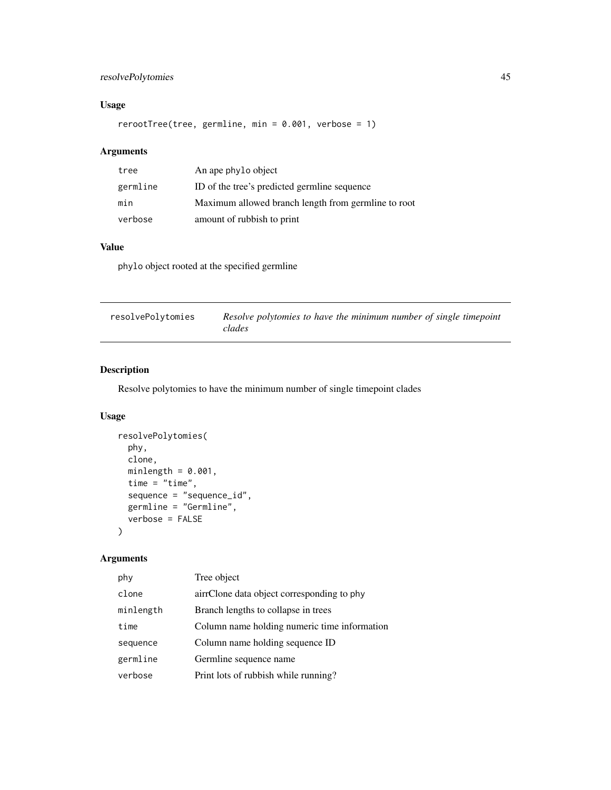# <span id="page-44-0"></span>resolvePolytomies 45

# Usage

rerootTree(tree, germline, min = 0.001, verbose = 1)

# Arguments

| tree     | An ape phylo object                                 |
|----------|-----------------------------------------------------|
| germline | ID of the tree's predicted germline sequence        |
| min      | Maximum allowed branch length from germline to root |
| verbose  | amount of rubbish to print                          |

# Value

phylo object rooted at the specified germline

| resolvePolytomies | Resolve polytomies to have the minimum number of single timepoint |
|-------------------|-------------------------------------------------------------------|
|                   | clades                                                            |

# Description

Resolve polytomies to have the minimum number of single timepoint clades

# Usage

```
resolvePolytomies(
 phy,
 clone,
 minlength = 0.001,
 time = "time",
  sequence = "sequence_id",
 germline = "Germline",
  verbose = FALSE
\mathcal{L}
```

| phy       | Tree object                                  |
|-----------|----------------------------------------------|
| clone     | airrClone data object corresponding to phy   |
| minlength | Branch lengths to collapse in trees          |
| time      | Column name holding numeric time information |
| sequence  | Column name holding sequence ID              |
| germline  | Germline sequence name                       |
| verbose   | Print lots of rubbish while running?         |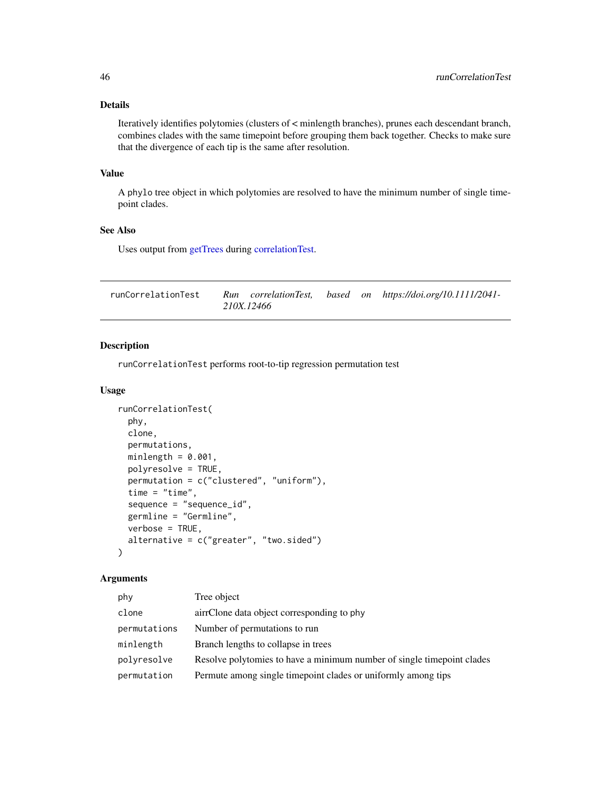#### <span id="page-45-0"></span>Details

Iteratively identifies polytomies (clusters of < minlength branches), prunes each descendant branch, combines clades with the same timepoint before grouping them back together. Checks to make sure that the divergence of each tip is the same after resolution.

#### Value

A phylo tree object in which polytomies are resolved to have the minimum number of single timepoint clades.

# See Also

Uses output from [getTrees](#page-30-1) during [correlationTest.](#page-14-1)

| runCorrelationTest |            |  | Run correlationTest, based on https://doi.org/10.1111/2041- |
|--------------------|------------|--|-------------------------------------------------------------|
|                    | 210X.12466 |  |                                                             |

# Description

runCorrelationTest performs root-to-tip regression permutation test

#### Usage

```
runCorrelationTest(
 phy,
 clone,
 permutations,
 minlength = 0.001,
 polyresolve = TRUE,
 permutation = c("clustered", "uniform"),
  time = "time",sequence = "sequence_id",
 germline = "Germline",
 verbose = TRUE,
  alternative = c("greater", "two.sided"))
```

| phy          | Tree object                                                            |
|--------------|------------------------------------------------------------------------|
| clone        | airrClone data object corresponding to phy                             |
| permutations | Number of permutations to run                                          |
| minlength    | Branch lengths to collapse in trees                                    |
| polyresolve  | Resolve polytomies to have a minimum number of single timepoint clades |
| permutation  | Permute among single timepoint clades or uniformly among tips          |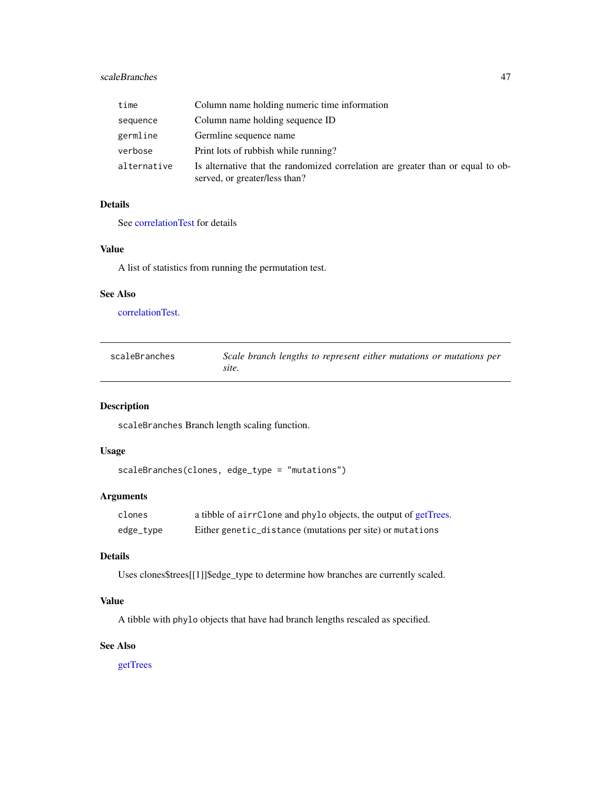#### <span id="page-46-0"></span>scaleBranches 47

| time        | Column name holding numeric time information                                                                     |
|-------------|------------------------------------------------------------------------------------------------------------------|
| sequence    | Column name holding sequence ID                                                                                  |
| germline    | Germline sequence name                                                                                           |
| verbose     | Print lots of rubbish while running?                                                                             |
| alternative | Is alternative that the randomized correlation are greater than or equal to ob-<br>served, or greater/less than? |

# Details

See [correlationTest](#page-14-1) for details

#### Value

A list of statistics from running the permutation test.

#### See Also

[correlationTest.](#page-14-1)

| scaleBranches | Scale branch lengths to represent either mutations or mutations per |
|---------------|---------------------------------------------------------------------|
|               | site.                                                               |

# Description

scaleBranches Branch length scaling function.

#### Usage

```
scaleBranches(clones, edge_type = "mutations")
```
# Arguments

| clones    | a tibble of airrClone and phylo objects, the output of getTrees. |
|-----------|------------------------------------------------------------------|
| edge_type | Either genetic_distance (mutations per site) or mutations        |

# Details

Uses clones\$trees[[1]]\$edge\_type to determine how branches are currently scaled.

#### Value

A tibble with phylo objects that have had branch lengths rescaled as specified.

#### See Also

[getTrees](#page-30-1)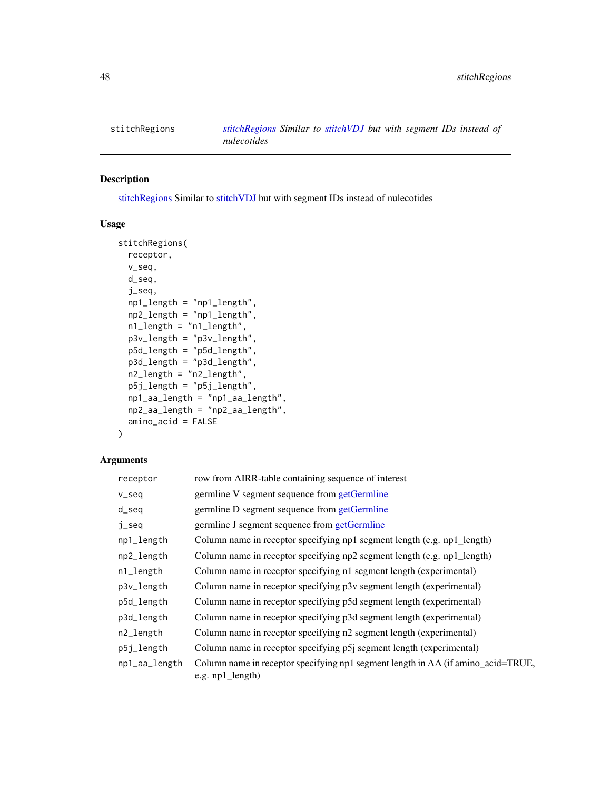<span id="page-47-1"></span><span id="page-47-0"></span>

[stitchRegions](#page-47-1) Similar to [stitchVDJ](#page-48-1) but with segment IDs instead of nulecotides

# Usage

```
stitchRegions(
  receptor,
  v_seq,
  d_seq,
  j_seq,
  np1_length = "np1_length",
  np2_length = "np1_length",
  n1_length = "n1_length",
 p3v_length = "p3v_length",
 p5d_length = "p5d_length",
 p3d_length = "p3d_length",
  n2_length = "n2_length",
  p5j_length = "p5j_length",
  np1_aa_length = "np1_aa_length",
  np2_aa_length = "np2_aa_length",
  amino_acid = FALSE
)
```

| receptor      | row from AIRR-table containing sequence of interest                                                  |
|---------------|------------------------------------------------------------------------------------------------------|
| v_seq         | germline V segment sequence from getGermline                                                         |
| $d$ _seq      | germline D segment sequence from getGermline                                                         |
| j_seq         | germline J segment sequence from getGermline                                                         |
| np1_length    | Column name in receptor specifying np1 segment length (e.g. np1_length)                              |
| np2_length    | Column name in receptor specifying np2 segment length (e.g. np1_length)                              |
| n1_length     | Column name in receptor specifying n1 segment length (experimental)                                  |
| p3v_length    | Column name in receptor specifying p3v segment length (experimental)                                 |
| p5d_length    | Column name in receptor specifying p5d segment length (experimental)                                 |
| p3d_length    | Column name in receptor specifying p3d segment length (experimental)                                 |
| n2_length     | Column name in receptor specifying n2 segment length (experimental)                                  |
| p5j_length    | Column name in receptor specifying p5j segment length (experimental)                                 |
| np1_aa_length | Column name in receptor specifying np1 segment length in AA (if amino_acid=TRUE,<br>e.g. np1_length) |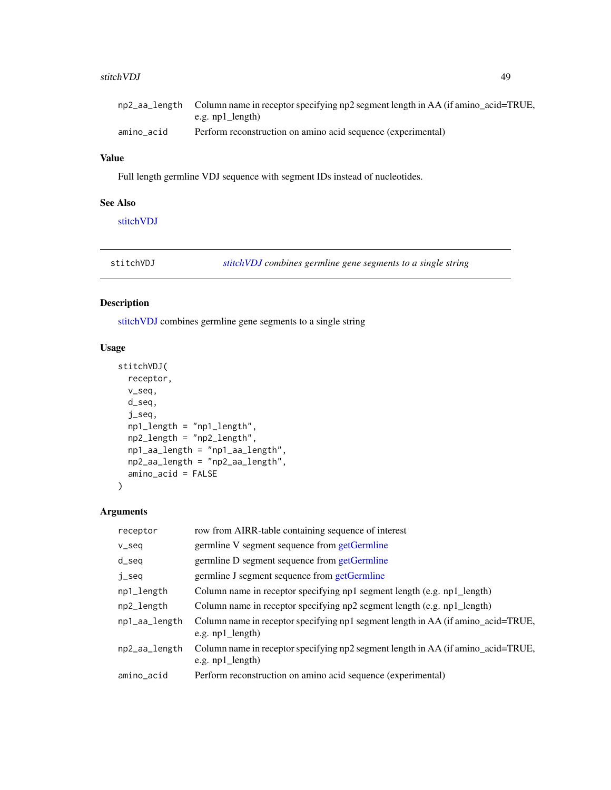#### <span id="page-48-0"></span>stitchVDJ 49

|            | np2_aa_length Column name in receptor specifying np2 segment length in AA (if amino_acid=TRUE, |
|------------|------------------------------------------------------------------------------------------------|
|            | e.g. np1 length)                                                                               |
| amino acid | Perform reconstruction on amino acid sequence (experimental)                                   |

# Value

Full length germline VDJ sequence with segment IDs instead of nucleotides.

#### See Also

[stitchVDJ](#page-48-1)

<span id="page-48-1"></span>stitchVDJ *[stitchVDJ](#page-48-1) combines germline gene segments to a single string*

# Description

[stitchVDJ](#page-48-1) combines germline gene segments to a single string

# Usage

```
stitchVDJ(
  receptor,
 v_seq,
 d_seq,
  j_seq,
  np1_length = "np1_length",
  np2_length = "np2_length",
  np1_aa_length = "np1_aa_length",
 np2_aa_length = "np2_aa_length",
  amino_acid = FALSE
\mathcal{L}
```

| receptor      | row from AIRR-table containing sequence of interest                                                    |
|---------------|--------------------------------------------------------------------------------------------------------|
| v_seq         | germline V segment sequence from getGermline                                                           |
| $d$ _seq      | germline D segment sequence from getGermline                                                           |
| j_seq         | germline J segment sequence from getGermline                                                           |
| np1_length    | Column name in receptor specifying np1 segment length (e.g. np1_length)                                |
| np2_length    | Column name in receptor specifying np2 segment length (e.g. np1_length)                                |
| np1_aa_length | Column name in receptor specifying np1 segment length in AA (if amino_acid=TRUE,<br>e.g. $np1$ length) |
| np2_aa_length | Column name in receptor specifying np2 segment length in AA (if amino_acid=TRUE,<br>e.g. $np1$ length) |
| amino_acid    | Perform reconstruction on amino acid sequence (experimental)                                           |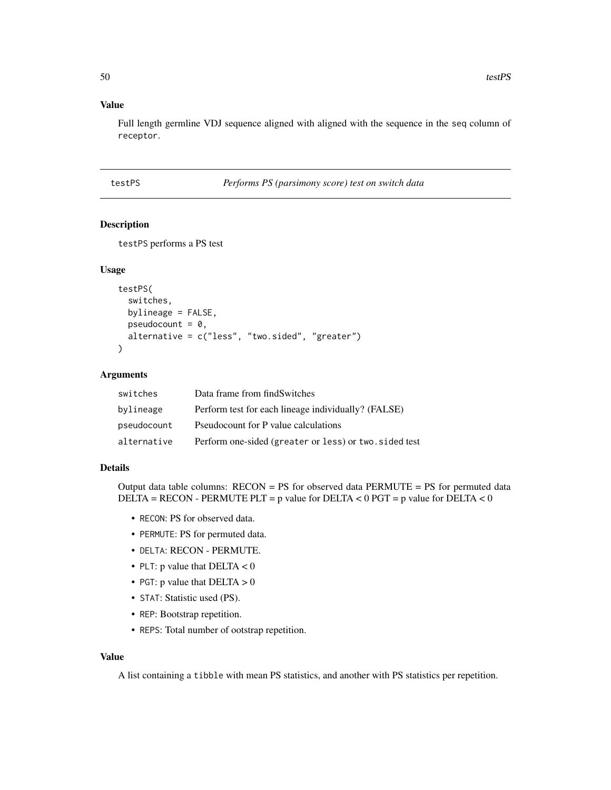#### Value

Full length germline VDJ sequence aligned with aligned with the sequence in the seq column of receptor.

<span id="page-49-1"></span>testPS *Performs PS (parsimony score) test on switch data*

# Description

testPS performs a PS test

#### Usage

```
testPS(
  switches,
 bylineage = FALSE,
 pseudocount = 0,
 alternative = c("less", "two.sided", "greater")
)
```
#### Arguments

| switches    | Data frame from findSwitches                           |
|-------------|--------------------------------------------------------|
| bylineage   | Perform test for each lineage individually? (FALSE)    |
| pseudocount | Pseudocount for P value calculations                   |
| alternative | Perform one-sided (greater or less) or two. sided test |

#### Details

Output data table columns:  $RECON = PS$  for observed data  $PERMUTE = PS$  for permuted data DELTA = RECON - PERMUTE PLT = p value for DELTA < 0 PGT = p value for DELTA < 0

- RECON: PS for observed data.
- PERMUTE: PS for permuted data.
- DELTA: RECON PERMUTE.
- PLT: p value that  $DELTA < 0$
- PGT: p value that  $DELTA > 0$
- STAT: Statistic used (PS).
- REP: Bootstrap repetition.
- REPS: Total number of ootstrap repetition.

#### Value

A list containing a tibble with mean PS statistics, and another with PS statistics per repetition.

<span id="page-49-0"></span>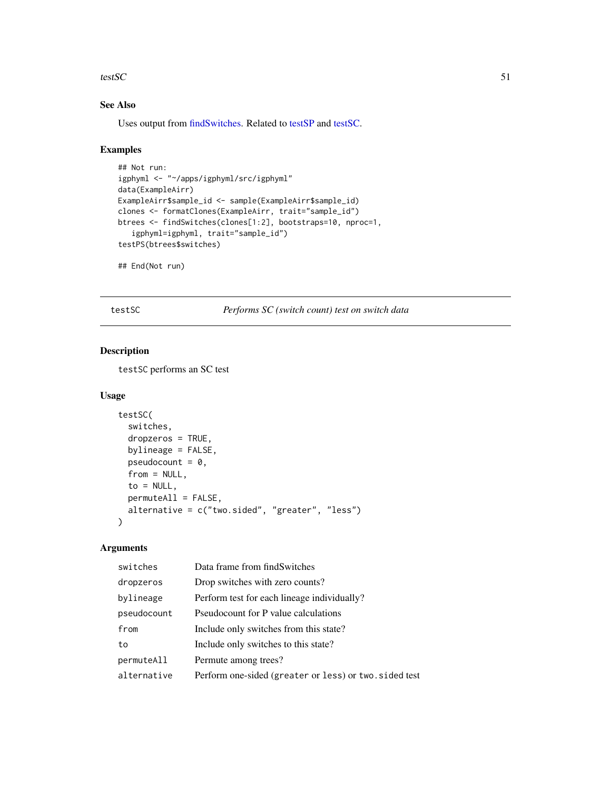#### <span id="page-50-0"></span>testSC  $\sim$  51

# See Also

Uses output from [findSwitches.](#page-21-1) Related to [testSP](#page-51-1) and [testSC.](#page-50-1)

#### Examples

```
## Not run:
igphyml <- "~/apps/igphyml/src/igphyml"
data(ExampleAirr)
ExampleAirr$sample_id <- sample(ExampleAirr$sample_id)
clones <- formatClones(ExampleAirr, trait="sample_id")
btrees <- findSwitches(clones[1:2], bootstraps=10, nproc=1,
   igphyml=igphyml, trait="sample_id")
testPS(btrees$switches)
```
## End(Not run)

<span id="page-50-1"></span>testSC *Performs SC (switch count) test on switch data*

# Description

testSC performs an SC test

#### Usage

```
testSC(
  switches,
  dropzeros = TRUE,
  bylineage = FALSE,
  pseudocount = 0,
  from = NULL,to = NULL,permuteAll = FALSE,
  alternative = c("two.sided", "greater", "less")
\mathcal{L}
```

| switches    | Data frame from findSwitches                           |
|-------------|--------------------------------------------------------|
| dropzeros   | Drop switches with zero counts?                        |
| bylineage   | Perform test for each lineage individually?            |
| pseudocount | Pseudocount for P value calculations                   |
| from        | Include only switches from this state?                 |
| to          | Include only switches to this state?                   |
| permuteAll  | Permute among trees?                                   |
| alternative | Perform one-sided (greater or less) or two. sided test |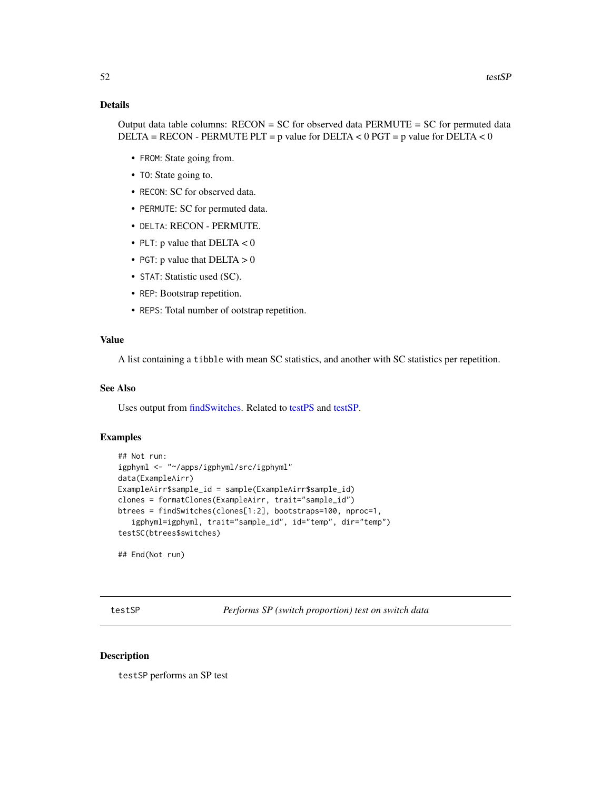#### <span id="page-51-0"></span>Details

Output data table columns:  $RECON = SC$  for observed data  $PERMUTE = SC$  for permuted data DELTA = RECON - PERMUTE PLT = p value for DELTA < 0 PGT = p value for DELTA < 0

- FROM: State going from.
- TO: State going to.
- RECON: SC for observed data.
- PERMUTE: SC for permuted data.
- DELTA: RECON PERMUTE.
- PLT: p value that  $DELTA < 0$
- PGT: p value that  $DELTA > 0$
- STAT: Statistic used (SC).
- REP: Bootstrap repetition.
- REPS: Total number of ootstrap repetition.

#### Value

A list containing a tibble with mean SC statistics, and another with SC statistics per repetition.

#### See Also

Uses output from [findSwitches.](#page-21-1) Related to [testPS](#page-49-1) and [testSP.](#page-51-1)

#### Examples

```
## Not run:
igphyml <- "~/apps/igphyml/src/igphyml"
data(ExampleAirr)
ExampleAirr$sample_id = sample(ExampleAirr$sample_id)
clones = formatClones(ExampleAirr, trait="sample_id")
btrees = findSwitches(clones[1:2], bootstraps=100, nproc=1,
   igphyml=igphyml, trait="sample_id", id="temp", dir="temp")
testSC(btrees$switches)
```
## End(Not run)

<span id="page-51-1"></span>testSP *Performs SP (switch proportion) test on switch data*

#### Description

testSP performs an SP test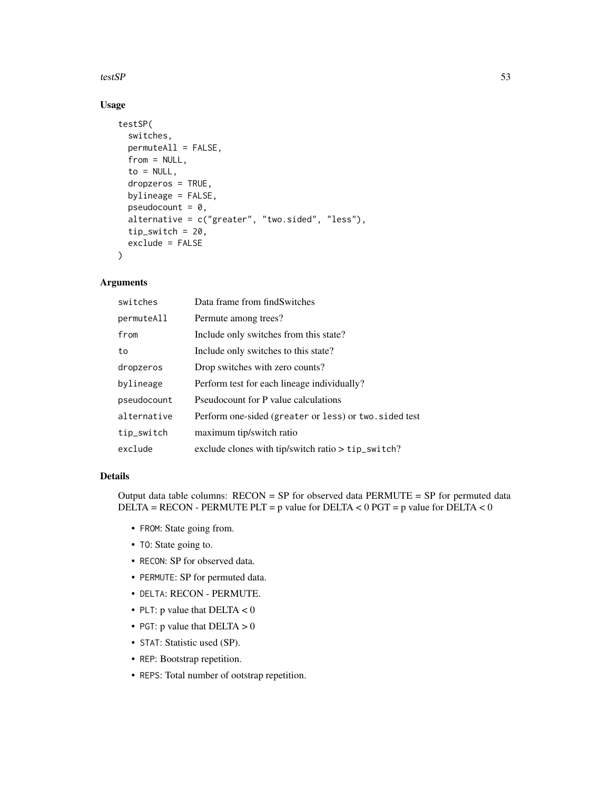#### testSP  $\sim$  53

# Usage

```
testSP(
  switches,
  permuteAll = FALSE,
  from = NULL,to = NULL,dropzeros = TRUE,
  bylineage = FALSE,
  pseudocount = 0,
  alternative = c("greater", "two.sided", "less"),
  tip\_switch = 20,exclude = FALSE
\lambda
```
# Arguments

| switches    | Data frame from findSwitches                           |
|-------------|--------------------------------------------------------|
| permuteAll  | Permute among trees?                                   |
| from        | Include only switches from this state?                 |
| to          | Include only switches to this state?                   |
| dropzeros   | Drop switches with zero counts?                        |
| bylineage   | Perform test for each lineage individually?            |
| pseudocount | Pseudocount for P value calculations                   |
| alternative | Perform one-sided (greater or less) or two. sided test |
| tip_switch  | maximum tip/switch ratio                               |
| exclude     | exclude clones with tip/switch ratio > tip_switch?     |

#### Details

Output data table columns:  $RECON = SP$  for observed data  $PERMUTE = SP$  for permuted data DELTA = RECON - PERMUTE PLT = p value for DELTA <  $0$  PGT = p value for DELTA <  $0$ 

- FROM: State going from.
- TO: State going to.
- RECON: SP for observed data.
- PERMUTE: SP for permuted data.
- DELTA: RECON PERMUTE.
- PLT: p value that  $DELTA < 0$
- PGT: p value that  $DELTA > 0$
- STAT: Statistic used (SP).
- REP: Bootstrap repetition.
- REPS: Total number of ootstrap repetition.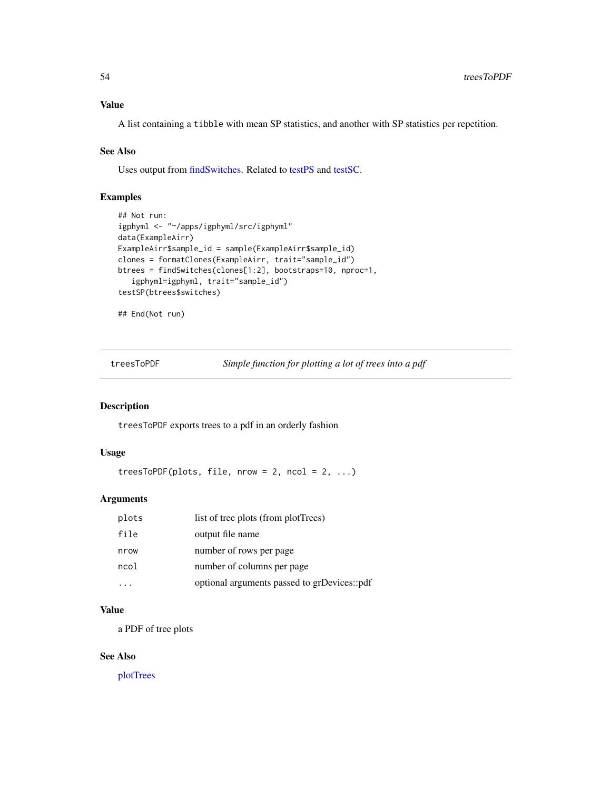<span id="page-53-0"></span>A list containing a tibble with mean SP statistics, and another with SP statistics per repetition.

#### See Also

Uses output from [findSwitches.](#page-21-1) Related to [testPS](#page-49-1) and [testSC.](#page-50-1)

### Examples

```
## Not run:
igphyml <- "~/apps/igphyml/src/igphyml"
data(ExampleAirr)
ExampleAirr$sample_id = sample(ExampleAirr$sample_id)
clones = formatClones(ExampleAirr, trait="sample_id")
btrees = findSwitches(clones[1:2], bootstraps=10, nproc=1,
   igphyml=igphyml, trait="sample_id")
testSP(btrees$switches)
```

```
## End(Not run)
```
treesToPDF *Simple function for plotting a lot of trees into a pdf*

#### Description

treesToPDF exports trees to a pdf in an orderly fashion

#### Usage

 $treesToPDF(plots, file, nrow = 2, ncol = 2, ...)$ 

#### Arguments

| plots | list of tree plots (from plotTrees)         |
|-------|---------------------------------------------|
| file  | output file name                            |
| nrow  | number of rows per page                     |
| ncol  | number of columns per page                  |
|       | optional arguments passed to grDevices::pdf |

# Value

a PDF of tree plots

#### See Also

[plotTrees](#page-38-1)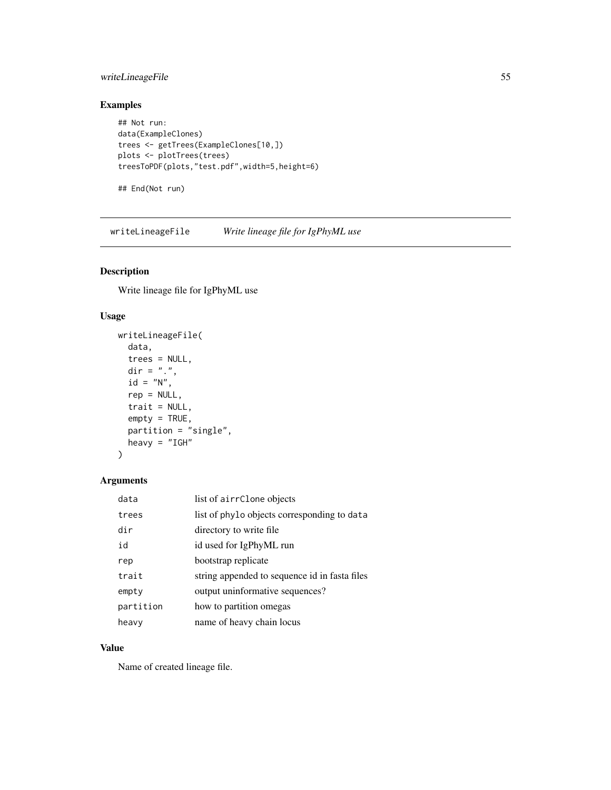# <span id="page-54-0"></span>writeLineageFile 55

# Examples

```
## Not run:
data(ExampleClones)
trees <- getTrees(ExampleClones[10,])
plots <- plotTrees(trees)
treesToPDF(plots,"test.pdf",width=5,height=6)
## End(Not run)
```
writeLineageFile *Write lineage file for IgPhyML use*

# Description

Write lineage file for IgPhyML use

#### Usage

```
writeLineageFile(
  data,
  trees = NULL,
 dir = ".''.id = "N",rep = NULL,
  trait = NULL,
  empty = TRUE,partition = "single",
 heavy = "IGH"
\mathcal{L}
```
#### Arguments

| data      | list of airrClone objects                     |
|-----------|-----------------------------------------------|
| trees     | list of phylo objects corresponding to data   |
| dir       | directory to write file                       |
| id        | id used for IgPhyML run                       |
| rep       | bootstrap replicate                           |
| trait     | string appended to sequence id in fasta files |
| empty     | output uninformative sequences?               |
| partition | how to partition omegas                       |
| heavy     | name of heavy chain locus                     |

# Value

Name of created lineage file.